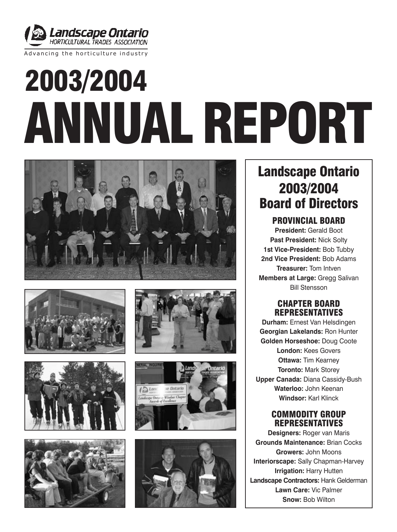

Advancing the horticulture industry

# 2003/2004 ANNUAL REPORT















## Landscape Ontario 2003/2004 Board of Directors

#### PROVINCIAL BOARD

**President:** Gerald Boot **Past President:** Nick Solty **1st Vice-President:** Bob Tubby **2nd Vice President:** Bob Adams **Treasurer:** Tom Intven **Members at Large:** Gregg Salivan Bill Stensson

#### CHAPTER BOARD REPRESENTATIVES

**Durham:** Ernest Van Helsdingen **Georgian Lakelands:** Ron Hunter **Golden Horseshoe:** Doug Coote **London:** Kees Govers **Ottawa:** Tim Kearney **Toronto:** Mark Storey **Upper Canada:** Diana Cassidy-Bush **Waterloo:** John Keenan **Windsor:** Karl Klinck

#### COMMODITY GROUP REPRESENTATIVES

**Designers:** Roger van Maris **Grounds Maintenance:** Brian Cocks **Growers:** John Moons **Interiorscape:** Sally Chapman-Harvey **Irrigation:** Harry Hutten **Landscape Contractors:** Hank Gelderman **Lawn Care:** Vic Palmer **Snow:** Bob Wilton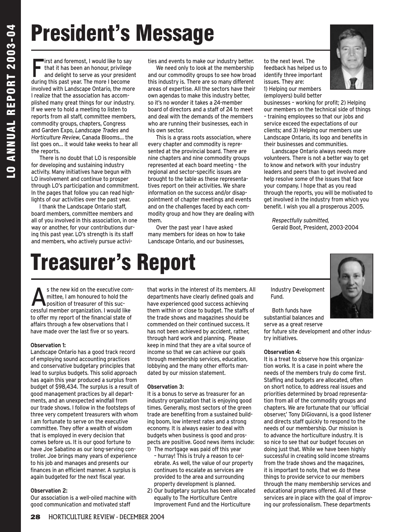## President's Message

First and foremost, I would like to say<br>
that it has been an honour, privilege<br>
and delight to serve as your presider<br>
this attice that that it has been an honour, privilege and delight to serve as your president during this past year. The more I become involved with Landscape Ontario, the more I realize that the association has accomplished many great things for our industry. If we were to hold a meeting to listen to reports from all staff, committee members, commodity groups, chapters, Congress and Garden Expo, *Landscape Trades* and *Horticulture Review*, Canada Blooms… the list goes on… it would take weeks to hear all the reports.

There is no doubt that LO is responsible for developing and sustaining industry activity. Many initiatives have begun with LO involvement and continue to prosper through LO's participation and commitment. In the pages that follow you can read highlights of our activities over the past year.

I thank the Landscape Ontario staff, board members, committee members and all of you involved in this association, in one way or another, for your contributions during this past year. LO's strength is its staff and members, who actively pursue activities and events to make our industry better.

We need only to look at the membership and our commodity groups to see how broad this industry is. There are so many different areas of expertise. All the sectors have their own agendas to make this industry better, so it's no wonder it takes a 24-member board of directors and a staff of 24 to meet and deal with the demands of the members who are running their businesses, each in his own sector.

This is a grass roots association, where every chapter and commodity is represented at the provincial board. There are nine chapters and nine commodity groups represented at each board meeting – the regional and sector-specific issues are brought to the table as these representatives report on their activities. We share information on the success and/or disappointment of chapter meetings and events and on the challenges faced by each commodity group and how they are dealing with them.

Over the past year I have asked many members for ideas on how to take Landscape Ontario, and our businesses,

to the next level. The feedback has helped us to identify three important issues. They are: 1) Helping our members (employers) build better



businesses – working for profit; 2) Helping our members on the technical side of things – training employees so that our jobs and service exceed the expectations of our clients; and 3) Helping our members use Landscape Ontario, its logo and benefits in their businesses and communities.

Landscape Ontario always needs more volunteers. There is not a better way to get to know and network with your industry leaders and peers than to get involved and help resolve some of the issues that face your company. I hope that as you read through the reports, you will be motivated to get involved in the industry from which you benefit. I wish you all a prosperous 2005.

*Respectfully submitted,*  Gerald Boot, President, 2003-2004

## Treasurer's Report

s the new kid on the executive com-<br>mittee, I am honoured to hold the<br>position of treasurer of this sucmittee, I am honoured to hold the position of treasurer of this successful member organization. I would like to offer my report of the financial state of affairs through a few observations that I have made over the last five or so years.

#### **Observation 1:**

Landscape Ontario has a good track record of employing sound accounting practices and conservative budgetary principles that lead to surplus budgets. This solid approach has again this year produced a surplus from budget of \$98,434. The surplus is a result of good management practices by all departments, and an unexpected windfall from our trade shows. I follow in the footsteps of three very competent treasurers with whom I am fortunate to serve on the executive committee. They offer a wealth of wisdom that is employed in every decision that comes before us. It is our good fortune to have Joe Sabatino as our long-serving controller. Joe brings many years of experience to his job and manages and presents our finances in an efficient manner. A surplus is again budgeted for the next fiscal year.

#### **Observation 2:**

Our association is a well-oiled machine with good communication and motivated staff

that works in the interest of its members. All departments have clearly defined goals and have experienced good success achieving them within or close to budget. The staffs of the trade shows and magazines should be commended on their continued success. It has not been achieved by accident, rather, through hard work and planning. Please keep in mind that they are a vital source of income so that we can achieve our goals through membership services, education, lobbying and the many other efforts mandated by our mission statement.

#### **Observation 3:**

It is a bonus to serve as treasurer for an industry organization that is enjoying good times. Generally, most sectors of the green trade are benefiting from a sustained building boom, low interest rates and a strong economy. It is always easier to deal with budgets when business is good and prospects are positive. Good news items include:

- 1) The mortgage was paid off this year – hurray! This is truly a reason to celebrate. As well, the value of our property continues to escalate as services are provided to the area and surrounding property development is planned.
- 2) Our budgetary surplus has been allocated equally to The Horticulture Centre Improvement Fund and the Horticulture

Industry Development Fund.

Both funds have substantial balances and serve as a great reserve

for future site development and other industry initiatives.

#### **Observation 4:**

It is a treat to observe how this organization works. It is a case in point where the needs of the members truly do come first. Staffing and budgets are allocated, often on short notice, to address real issues and priorities determined by broad representation from all of the commodity groups and chapters. We are fortunate that our 'official observer,' Tony DiGiovanni, is a good listener and directs staff quickly to respond to the needs of our membership. Our mission is to advance the horticulture industry. It is so nice to see that our budget focuses on doing just that. While we have been highly successful in creating solid income streams from the trade shows and the magazines, it is important to note, that we do these things to provide service to our members through the many membership services and educational programs offered. All of these services are in place with the goal of improving our professionalism. These departments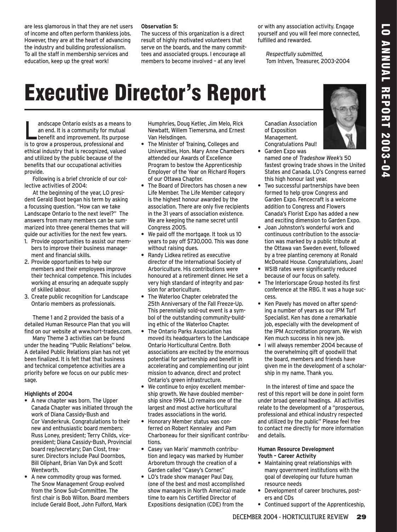5 LO ANNUAL REPORT 2003-04 **ANUML REPORT 2003-04** 

are less glamorous in that they are net users of income and often perform thankless jobs. However, they are at the heart of advancing the industry and building professionalism. To all the staff in membership services and education, keep up the great work!

#### **Observation 5:**

The success of this organization is a direct result of highly motivated volunteers that serve on the boards, and the many committees and associated groups. I encourage all members to become involved – at any level

or with any association activity. Engage yourself and you will feel more connected, fulfilled and rewarded.

*Respectfully submitted,* Tom Intven, Treasurer, 2003-2004

## Executive Director's Report

andscape Ontario exists as a means to<br>an end. It is a community for mutual<br>benefit and improvement. Its purpose an end. It is a community for mutual is to grow a prosperous, professional and ethical industry that is recognized, valued and utilized by the public because of the benefits that our occupational activities provide.

Following is a brief chronicle of our collective activities of 2004:

At the beginning of the year, LO president Gerald Boot began his term by asking a focussing question. "How can we take Landscape Ontario to the next level?" The answers from many members can be summarized into three general themes that will guide our activities for the next few years.

- 1. Provide opportunities to assist our members to improve their business management and financial skills.
- 2. Provide opportunities to help our members and their employees improve their technical competence. This includes working at ensuring an adequate supply of skilled labour.
- 3. Create public recognition for Landscape Ontario members as professionals.

Theme 1 and 2 provided the basis of a detailed Human Resource Plan that you will find on our website at www.hort-trades.com.

Many Theme 3 activities can be found under the heading "Public Relations" below. A detailed Public Relations plan has not yet been finalized. It is felt that that business and technical competence activities are a priority before we focus on our public message.

#### **Highlights of 2004**

- **•** A new chapter was born. The Upper Canada Chapter was initiated through the work of Diana Cassidy-Bush and Cor Vanderkruk. Congratulations to their new and enthusiastic board members: Russ Loney, president; Terry Childs, vicepresident; Diana Cassidy-Bush, Provincial board rep/secretary; Dan Clost, treasurer. Directors include Paul Doornbos, Bill Oliphant, Brian Van Dyk and Scott Wentworth.
- **•** A new commodity group was formed. The Snow Management Group evolved from the Snow Sub-Committee. The first chair is Bob Wilton. Board members include Gerald Boot, John Fulford, Mark

Humphries, Doug Ketler, Jim Melo, Rick Newbatt, Willem Tiemersma, and Ernest Van Helsdingen.

- **•** The Minister of Training, Colleges and Universities, Hon. Mary Anne Chambers attended our Awards of Excellence Program to bestow the Apprenticeship Employer of the Year on Richard Rogers of our Ottawa Chapter.
- **•** The Board of Directors has chosen a new Life Member. The Life Member category is the highest honour awarded by the association. There are only five recipients in the 31 years of association existence. We are keeping the name secret until Congress 2005.
- **•** We paid off the mortgage. It took us 10 years to pay off \$730,000. This was done without raising dues.
- **•** Randy Lidkea retired as executive director of the International Society of Arboriculture. His contributions were honoured at a retirement dinner. He set a very high standard of integrity and passion for arboriculture.
- **•** The Waterloo Chapter celebrated the 25th Anniversary of the Fall Freeze-Up. This perennially sold-out event is a symbol of the outstanding community-building ethic of the Waterloo Chapter.
- **•** The Ontario Parks Association has moved its headquarters to the Landscape Ontario Horticultural Centre. Both associations are excited by the enormous potential for partnership and benefit in accelerating and complementing our joint mission to advance, direct and protect Ontario's green infrastructure.
- **•** We continue to enjoy excellent membership growth. We have doubled membership since 1994. LO remains one of the largest and most active horticultural trades associations in the world.
- **•** Honorary Member status was conferred on Robert Kennaley and Pam Charboneau for their significant contributions.
- **•** Casey van Maris' mammoth contribution and legacy was marked by Humber Arboretum through the creation of a Garden called "Casey's Corner."
- **•** LO's trade show manager Paul Day, (one of the best and most accomplished show managers in North America) made time to earn his Certified Director of Expositions designation (CDE) from the

Canadian Association of Exposition Management. Congratulations Paul!



- **•** Garden Expo was named one of *Tradeshow Week's* 50 fastest growing trade shows in the United States and Canada. LO's Congress earned this high honour last year.
- **•** Two successful partnerships have been formed to help grow Congress and Garden Expo. Fencecraft is a welcome addition to Congress and Flowers Canada's Florist Expo has added a new and exciting dimension to Garden Expo.
- **•** Joan Johnston's wonderful work and continuous contribution to the association was marked by a public tribute at the Ottawa van Sweden event, followed by a tree planting ceremony at Ronald McDonald House. Congratulations, Joan!
- **•** WSIB rates were significantly reduced because of our focus on safety.
- **•** The Interiorscape Group hosted its first conference at the RBG. It was a huge success.
- **•** Ken Pavely has moved on after spending a number of years as our IPM Turf Specialist. Ken has done a remarkable job, especially with the development of the IPM Accreditation program. We wish Ken much success in his new job.
- **•** I will always remember 2004 because of the overwhelming gift of goodwill that the board, members and friends have given me in the development of a scholarship in my name. Thank you.

In the interest of time and space the rest of this report will be done in point form under broad general headings. All activities relate to the development of a "prosperous, professional and ethical industry respected and utilized by the public" Please feel free to contact me directly for more information and details.

#### **Human Resource Development Youth – Career Activity**

- **•** Maintaining great relationships with many government institutions with the goal of developing our future human resource needs
- **•** Development of career brochures, posters and CDs
- **•** Continued support of the Apprenticeship,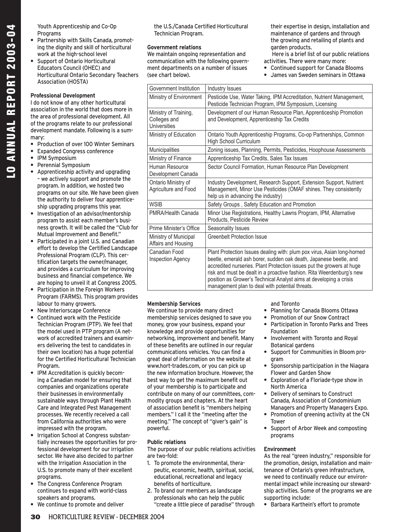Youth Apprenticeship and Co-Op Programs

- **•** Partnership with Skills Canada, promoting the dignity and skill of horticultural work at the high-school level
- **•** Support of Ontario Horticultural Educators Council (OHEC) and Horticultural Ontario Secondary Teachers Association (HOSTA)

#### **Professional Development**

I do not know of any other horticultural association in the world that does more in the area of professional development. All of the programs relate to our professional development mandate. Following is a summary:

- **•** Production of over 100 Winter Seminars
- **•** Expanded Congress conference
- **•** IPM Symposium
- **•** Perennial Symposium
- **•** Apprenticeship activity and upgrading – we actively support and promote the program. In addition, we hosted two programs on our site. We have been given the authority to deliver four apprenticeship upgrading programs this year.
- **•** Investigation of an advisor/mentorship program to assist each member's business growth. It will be called the "Club for Mutual Improvement and Benefit."
- **•** Participated in a joint U.S. and Canadian effort to develop the Certified Landscape Professional Program (CLP). This certification targets the owner/manager, and provides a curriculum for improving business and financial competence. We are hoping to unveil it at Congress 2005.
- **•** Participation in the Foreign Workers Program (FARMS). This program provides labour to many growers.
- **•** New Interiorscape Conference
- **•** Continued work with the Pesticide Technician Program (PTP). We feel that the model used in PTP program (A network of accredited trainers and examiners delivering the test to candidates in their own location) has a huge potential for the Certified Horticultural Technician Program.
- **•** IPM Accreditation is quickly becoming a Canadian model for ensuring that companies and organizations operate their businesses in environmentally sustainable ways through Plant Health Care and Integrated Pest Management processes. We recently received a call from California authorities who were impressed with the program.
- **•** Irrigation School at Congress substantially increases the opportunities for professional development for our irrigation sector. We have also decided to partner with the Irrigation Association in the U.S. to promote many of their excellent programs.
- **•** The Congress Conference Program continues to expand with world-class speakers and programs.
- **•** We continue to promote and deliver

the U.S./Canada Certified Horticultural Technician Program.

#### **Government relations**

We maintain ongoing representation and communication with the following government departments on a number of issues (see chart below).

their expertise in design, installation and maintenance of gardens and through the growing and retailing of plants and garden products.

Here is a brief list of our public relations activities. There were many more:

- **•** Continued support for Canada Blooms
	- **•** James van Sweden seminars in Ottawa

| Government Institution                                | <b>Industry Issues</b>                                                                                                                                                                                                                                                                                                                                                                                                  |
|-------------------------------------------------------|-------------------------------------------------------------------------------------------------------------------------------------------------------------------------------------------------------------------------------------------------------------------------------------------------------------------------------------------------------------------------------------------------------------------------|
| Ministry of Environment                               | Pesticide Use, Water Taking, IPM Accreditation, Nutrient Management,<br>Pesticide Technician Program, IPM Symposium, Licensing                                                                                                                                                                                                                                                                                          |
| Ministry of Training,<br>Colleges and<br>Universities | Development of our Human Resource Plan, Apprenticeship Promotion<br>and Development, Apprenticeship Tax Credits                                                                                                                                                                                                                                                                                                         |
| Ministry of Education                                 | Ontario Youth Apprenticeship Programs, Co-op Partnerships, Common<br>High School Curriculum                                                                                                                                                                                                                                                                                                                             |
| Municipalities                                        | Zoning issues, Planning, Permits, Pesticides, Hoophouse Assessments                                                                                                                                                                                                                                                                                                                                                     |
| Ministry of Finance                                   | Apprenticeship Tax Credits, Sales Tax Issues                                                                                                                                                                                                                                                                                                                                                                            |
| Human Resource<br>Development Canada                  | Sector Council Formation, Human Resource Plan Development                                                                                                                                                                                                                                                                                                                                                               |
| Ontario Ministry of<br>Agriculture and Food           | Industry Development, Research Support, Extension Support, Nutrient<br>Management, Minor Use Pesticides (OMAF shines. They consistently<br>help us in advancing the industry)                                                                                                                                                                                                                                           |
| <b>WSIB</b>                                           | Safety Groups, Safety Education and Promotion                                                                                                                                                                                                                                                                                                                                                                           |
| PMRA/Health Canada                                    | Minor Use Registrations, Healthy Lawns Program, IPM, Alternative<br>Products, Pesticide Review                                                                                                                                                                                                                                                                                                                          |
| Prime Minister's Office                               | Seasonality Issues                                                                                                                                                                                                                                                                                                                                                                                                      |
| Ministry of Municipal<br>Affairs and Housing          | <b>Greenbelt Protection Issue</b>                                                                                                                                                                                                                                                                                                                                                                                       |
| Canadian Food<br><b>Inspection Agency</b>             | Plant Protection Issues dealing with: plum pox virus, Asian long-horned<br>beetle, emerald ash borer, sudden oak death, Japanese beetle, and<br>accredited nurseries. Plant Protection issues put the growers at huge<br>risk and must be dealt in a proactive fashion. Rita Weerdenburg's new<br>position as Grower's Technical Analyst aims at developing a crisis<br>management plan to deal with potential threats. |

#### **Membership Services**

We continue to provide many direct membership services designed to save you money, grow your business, expand your knowledge and provide opportunities for networking, improvement and benefit. Many of these benefits are outlined in our regular communications vehicles. You can find a great deal of information on the website at www.hort-trades.com, or you can pick up the new information brochure. However, the best way to get the maximum benefit out of your membership is to participate and contribute on many of our committees, commodity groups and chapters. At the heart of association benefit is "members helping members." I call it the "meeting after the meeting." The concept of "giver's gain" is powerful.

#### **Public relations**

The purpose of our public relations activities are two-fold:

- 1. To promote the environmental, therapeutic, economic, health, spiritual, social, educational, recreational and legacy benefits of horticulture.
- 2. To brand our members as landscape professionals who can help the public "create a little piece of paradise" through

#### and Toronto

- **•** Planning for Canada Blooms Ottawa
- **•** Promotion of our Snow Contract
- **•** Participation in Toronto Parks and Trees Foundation
- **•** Involvement with Toronto and Royal Botanical gardens
- **•** Support for Communities in Bloom program
- **•** Sponsorship participation in the Niagara Flower and Garden Show
- **•** Exploration of a Floriade-type show in North America
- **•** Delivery of seminars to Construct Canada, Association of Condominium Managers and Property Managers Expo.
- **•** Promotion of greening activity at the CN Tower
- **•** Support of Arbor Week and composting programs

#### **Environment**

As the real "green industry," responsible for the promotion, design, installation and maintenance of Ontario's green infrastructure, we need to continually reduce our environmental impact while increasing our stewardship activities. Some of the programs we are supporting include:

**•** Barbara Karthein's effort to promote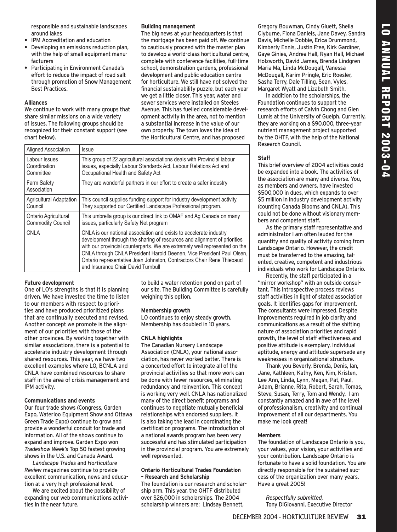responsible and sustainable landscapes around lakes

**•** IPM Accreditation and education

- **•** Developing an emissions reduction plan, with the help of small equipment manufacturers
- **•** Participating in Environment Canada's effort to reduce the impact of road salt through promotion of Snow Management Best Practices.

#### **Alliances**

We continue to work with many groups that share similar missions on a wide variety of issues. The following groups should be recognized for their constant support (see chart below).

#### **Building management**

The big news at your headquarters is that the mortgage has been paid off. We continue to cautiously proceed with the master plan to develop a world-class horticultural centre, complete with conference facilities, full-time school, demonstration gardens, professional development and public education centre for horticulture. We still have not solved the financial sustainability puzzle, but each year we get a little closer. This year, water and sewer services were installed on Steeles Avenue. This has fuelled considerable development activity in the area, not to mention a substantial increase in the value of our own property. The town loves the idea of the Horticultural Centre, and has proposed

| Aligned Association               | Issue                                                                                                                                                                                                                                                                                                                                                                                                                |
|-----------------------------------|----------------------------------------------------------------------------------------------------------------------------------------------------------------------------------------------------------------------------------------------------------------------------------------------------------------------------------------------------------------------------------------------------------------------|
| Labour Issues                     | This group of 22 agricultural associations deals with Provincial labour                                                                                                                                                                                                                                                                                                                                              |
| Coordination                      | issues, especially Labour Standards Act, Labour Relations Act and                                                                                                                                                                                                                                                                                                                                                    |
| Committee                         | Occupational Health and Safety Act                                                                                                                                                                                                                                                                                                                                                                                   |
| <b>Farm Safety</b><br>Association | They are wonderful partners in our effort to create a safer industry                                                                                                                                                                                                                                                                                                                                                 |
| <b>Agricultural Adaptation</b>    | This council supplies funding support for industry development activity.                                                                                                                                                                                                                                                                                                                                             |
| Council                           | They supported our Certified Landscape Professional program.                                                                                                                                                                                                                                                                                                                                                         |
| Ontario Agricultural              | This umbrella group is our direct link to OMAF and Ag Canada on many                                                                                                                                                                                                                                                                                                                                                 |
| <b>Commodity Council</b>          | issues, particularly Safety Net program                                                                                                                                                                                                                                                                                                                                                                              |
| <b>CNLA</b>                       | CNLA is our national association and exists to accelerate industry<br>development through the sharing of resources and alignment of priorities<br>with our provincial counterparts. We are extremely well represented on the<br>CNLA through CNLA President Harold Deenen, Vice President Paul Olsen,<br>Ontario representative Joan Johnston, Contractors Chair Rene Thiebaud<br>and Insurance Chair David Turnbull |

#### **Future development**

One of LO's strengths is that it is planning driven. We have invested the time to listen to our members with respect to priorities and have produced prioritized plans that are continually executed and revised. Another concept we promote is the alignment of our priorities with those of the other provinces. By working together with similar associations, there is a potential to accelerate industry development through shared resources. This year, we have two excellent examples where LO, BCNLA and CNLA have combined resources to share staff in the area of crisis management and IPM activity.

#### **Communications and events**

Our four trade shows (Congress, Garden Expo, Waterloo Equipment Show and Ottawa Green Trade Expo) continue to grow and provide a wonderful conduit for trade and information. All of the shows continue to expand and improve. Garden Expo won *Tradeshow Week's* Top 50 fastest growing shows in the U.S. and Canada Award.

*Landscape Trades* and *Horticulture Review* magazines continue to provide excellent communication, news and education at a very high professional level.

We are excited about the possibility of expanding our web communications activities in the near future.

to build a water retention pond on part of our site. The Building Committee is carefully weighing this option.

#### **Membership growth**

LO continues to enjoy steady growth. Membership has doubled in 10 years.

#### **CNLA highlights**

The Canadian Nursery Landscape Association (CNLA), your national association, has never worked better. There is a concerted effort to integrate all of the provincial activities so that more work can be done with fewer resources, eliminating redundancy and reinvention. This concept is working very well. CNLA has nationalized many of the direct benefit programs and continues to negotiate mutually beneficial relationships with endorsed suppliers. It is also taking the lead in coordinating the certification programs. The introduction of a national awards program has been very successful and has stimulated participation in the provincial program. You are extremely well represented.

#### **Ontario Horticultural Trades Foundation – Research and Scholarship**

The foundation is our research and scholarship arm. This year, the OHTF distributed over \$26,000 in scholarships. The 2004 scholarship winners are: Lindsay Bennett,

Gregory Bouwman, Cindy Gluett, Sheila Clyburne, Fiona Daniels, Jane Davey, Sandra Davis, Michelle Dobbie, Erica Drummond, Kimberly Ennis, Justin Free, Kirk Gardiner, Gaye Ginies, Andrea Hall, Ryan Hall, Michael Holzworth, David James, Brenda Lindgren Maria Ma, Linda McDougall, Vanessa McDougall, Karim Pringle, Eric Roesler, Sasha Terry, Dale Tilling, Sean, Vyles, Margaret Wyatt and Lizabeth Smith.

In addition to the scholarships, the Foundation continues to support the research efforts of Calvin Chong and Glen Lumis at the University of Guelph. Currently, they are working on a \$90,000, three-year nutrient management project supported by the OHTF, with the help of the National Research Council.

#### **Staff**

This brief overview of 2004 activities could be expanded into a book. The activities of the association are many and diverse. You, as members and owners, have invested \$500,000 in dues, which expands to over \$5 million in industry development activity (counting Canada Blooms and CNLA). This could not be done without visionary members and competent staff.

As the primary staff representative and administrator I am often lauded for the quantity and quality of activity coming from Landscape Ontario. However, the credit must be transferred to the amazing, talented, creative, competent and industrious individuals who work for Landscape Ontario.

Recently, the staff participated in a "mirror workshop" with an outside consultant. This introspective process reviews staff activities in light of stated association goals. It identifies gaps for improvement. The consultants were impressed. Despite improvements required in job clarity and communications as a result of the shifting nature of association priorities and rapid growth, the level of staff effectiveness and positive attitude is exemplary. Individual aptitude, energy and attitude supersede any weaknesses in organizational structure.

Thank you Beverly, Brenda, Denis, Ian, Jane, Kathleen, Kathy, Ken, Kim, Kristen, Lee Ann, Linda, Lynn, Megan, Pat, Paul, Adam, Brianne, Rita, Robert, Sarah, Tomas, Steve, Susan, Terry, Tom and Wendy. I am constantly amazed and in awe of the level of professionalism, creativity and continual improvement of all our departments. You make me look great!

#### **Members**

The foundation of Landscape Ontario is you, your values, your vision, your activities and your contribution. Landscape Ontario is fortunate to have a solid foundation. You are directly responsible for the sustained success of the organization over many years. Have a great 2005!

*Respectfully submitted,* Tony DiGiovanni, Executive Director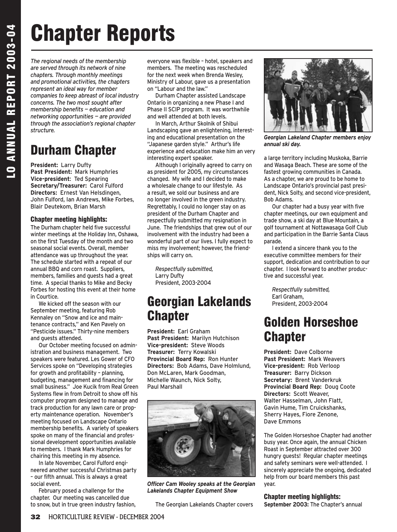## Chapter Reports

*The regional needs of the membership are served through its network of nine chapters. Through monthly meetings and promotional activities, the chapters represent an ideal way for member companies to keep abreast of local industry concerns. The two most sought after membership benefits — education and networking opportunities — are provided through the association's regional chapter structure.*

## Durham Chapter

**President:** Larry Dufty **Past President:** Mark Humphries **Vice-president**: Ted Spearing **Secretary/Treasurer:** Carol Fulford **Directors:** Ernest Van Helsdingen, John Fulford, Ian Andrews, Mike Forbes, Blair Deutekom, Brian Marsh

#### Chapter meeting highlights:

The Durham chapter held five successful winter meetings at the Holiday Inn, Oshawa, on the first Tuesday of the month and two seasonal social events. Overall, member attendance was up throughout the year. The schedule started with a repeat of our annual BBQ and corn roast. Suppliers, members, families and guests had a great time. A special thanks to Mike and Becky Forbes for hosting this event at their home in Courtice.

We kicked off the season with our September meeting, featuring Rob Kennaley on "Snow and ice and maintenance contracts," and Ken Pavely on "Pesticide issues." Thirty-nine members and guests attended.

Our October meeting focused on administration and business management. Two speakers were featured. Les Gower of CFO Services spoke on "Developing strategies for growth and profitability – planning, budgeting, management and financing for small business." Joe Kucik from Real Green Systems flew in from Detroit to show off his computer program designed to manage and track production for any lawn care or property maintenance operation. November's meeting focused on Landscape Ontario membership benefits. A variety of speakers spoke on many of the financial and professional development opportunities available to members. I thank Mark Humphries for chairing this meeting in my absence.

In late November, Carol Fulford engineered another successful Christmas party – our fifth annual. This is always a great social event.

February posed a challenge for the chapter. Our meeting was cancelled due to snow, but in true green industry fashion, everyone was flexible – hotel, speakers and members. The meeting was rescheduled for the next week when Brenda Wesley, Ministry of Labour, gave us a presentation on "Labour and the law."

Durham Chapter assisted Landscape Ontario in organizing a new Phase I and Phase II SCIP program. It was worthwhile and well attended at both levels.

In March, Arthur Skolnik of Shibui Landscaping gave an enlightening, interesting and educational presentation on the "Japanese garden style." Arthur's life experience and education make him an very interesting expert speaker.

Although I originally agreed to carry on as president for 2005, my circumstances changed. My wife and I decided to make a wholesale change to our lifestyle. As a result, we sold our business and are no longer involved in the green industry. Regrettably, I could no longer stay on as president of the Durham Chapter and respectfully submitted my resignation in June. The friendships that grew out of our involvement with the industry had been a wonderful part of our lives. I fully expect to miss my involvement; however, the friendships will carry on.

*Respectfully submitted,*  Larry Dufty President, 2003-2004

## Georgian Lakelands **Chapter**

**President:** Earl Graham **Past President:** Marilyn Hutchison **Vice-president:** Steve Woods **Treasurer:** Terry Kowalski **Provincial Board Rep:** Ron Hunter **Directors:** Bob Adams, Dave Holmlund, Don McLaren, Mark Goodman, Michelle Waunch, Nick Solty, Paul Marshall



*Officer Cam Wooley speaks at the Georgian Lakelands Chapter Equipment Show*

The Georgian Lakelands Chapter covers



*Georgian Lakeland Chapter members enjoy annual ski day.*

a large territory including Muskoka, Barrie and Wasaga Beach. These are some of the fastest growing communities in Canada. As a chapter, we are proud to be home to Landscape Ontario's provincial past president, Nick Solty, and second vice-president, Bob Adams.

Our chapter had a busy year with five chapter meetings, our own equipment and trade show, a ski day at Blue Mountain, a golf tournament at Nottawasaga Golf Club and participation in the Barrie Santa Claus parade.

I extend a sincere thank you to the executive committee members for their support, dedication and contribution to our chapter. I look forward to another productive and successful year.

*Respectfully submitted,* Earl Graham, President, 2003-2004

## Golden Horseshoe **Chapter**

**President:** Dave Colborne **Past President:** Mark Weavers **Vice-president:** Rob Verloop **Treasurer:** Barry Dickson **Secretary:** Brent Vanderkruk **Provincial Board Rep:** Doug Coote **Directors:** Scott Weaver, Walter Hasselman, John Flatt, Gavin Hume, Tim Cruickshanks, Sherry Hayes, Fiore Zenone, Dave Emmons

The Golden Horseshoe Chapter had another busy year. Once again, the annual Chicken Roast in September attracted over 300 hungry guests! Regular chapter meetings and safety seminars were well-attended. I sincerely appreciate the ongoing, dedicated help from our board members this past year.

Chapter meeting highlights: **September 2003:** The Chapter's annual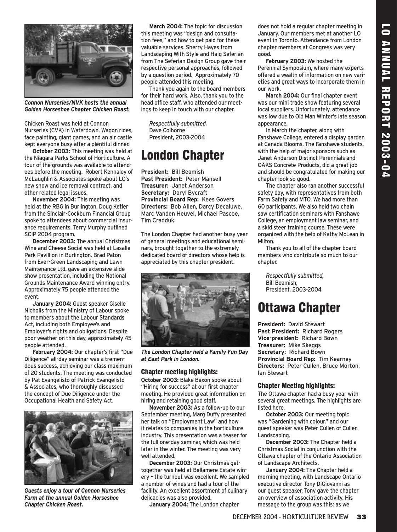

*Connon Nurseries/NVK hosts the annual Golden Horseshoe Chapter Chicken Roast.*

Chicken Roast was held at Connon Nurseries (CVK) in Waterdown. Wagon rides, face painting, giant games, and an air castle kept everyone busy after a plentiful dinner.

**October 2003:** This meeting was held at the Niagara Parks School of Horticulture. A tour of the grounds was available to attendees before the meeting. Robert Kennaley of McLaughlin & Associates spoke about LO's new snow and ice removal contract, and other related legal issues.

**November 2004:** This meeting was held at the RBG in Burlington. Doug Ketler from the Sinclair-Cockburn Financial Group spoke to attendees about commercial insurance requirements. Terry Murphy outlined SCIP 2004 program.

**December 2003:** The annual Christmas Wine and Cheese Social was held at Lasalle Park Pavillion in Burlington. Brad Paton from Ever-Green Landscaping and Lawn Maintenance Ltd. gave an extensive slide show presentation, including the National Grounds Maintenance Award winning entry. Approximately 75 people attended the event.

**January 2004:** Guest speaker Giselle Nicholls from the Ministry of Labour spoke to members about the Labour Standards Act, including both Employee's and Employer's rights and obligations. Despite poor weather on this day, approximately 45 people attended.

**February 2004:** Our chapter's first "Due Diligence" all-day seminar was a tremendous success, achieving our class maximum of 20 students. The meeting was conducted by Pat Evangelisto of Patrick Evangelisto & Associates, who thoroughly discussed the concept of Due Diligence under the Occupational Health and Safety Act.



*Guests enjoy a tour of Connon Nurseries Farm at the annual Golden Horseshoe Chapter Chicken Roast.*

**March 2004:** The topic for discussion this meeting was "design and consultation fees," and how to get paid for these valuable services. Sherry Hayes from Landscaping With Style and Haig Seferian from The Seferian Design Group gave their respective personal approaches, followed by a question period. Approximately 70 people attended this meeting.

Thank you again to the board members for their hard work. Also, thank you to the head office staff, who attended our meetings to keep in touch with our chapter.

*Respectfully submitted,* Dave Colborne President, 2003-2004

## London Chapter

**President:** Bill Beamish **Past President:** Peter Mansell **Treasurer:** Janet Anderson **Secretary:** Daryl Bycraft **Provincial Board Rep:** Kees Govers **Directors:** Bob Allen, Darcy Decaluwe, Marc Vanden Heuvel, Michael Pascoe, Tim Cradduk

The London Chapter had another busy year of general meetings and educational seminars, brought together to the extremely dedicated board of directors whose help is appreciated by this chapter president.



*The London Chapter held a Family Fun Day at East Park in London.*

#### Chapter meeting highlights:

**October 2003:** Blake Bexon spoke about "Hiring for success" at our first chapter meeting. He provided great information on hiring and retaining good staff.

**November 2003:** As a follow-up to our September meeting, Marg Duffy presented her talk on "Employment Law" and how it relates to companies in the horticulture industry. This presentation was a teaser for the full one-day seminar, which was held later in the winter. The meeting was very well attended.

**December 2003:** Our Christmas gettogether was held at Bellamere Estate winery – the turnout was excellent. We sampled a number of wines and had a tour of the facility. An excellent assortment of culinary delicacies was also provided.

**January 2004:** The London chapter

does not hold a regular chapter meeting in January. Our members met at another LO event in Toronto. Attendance from London chapter members at Congress was very good.

**February 2003:** We hosted the Perennial Symposium, where many experts offered a wealth of information on new varieties and great ways to incorporate them in our work.

March 2004: Our final chapter event was our mini trade show featuring several local suppliers. Unfortunately, attendance was low due to Old Man Winter's late season appearance.

In March the chapter, along with Fanshawe College, entered a display garden at Canada Blooms. The Fanshawe students, with the help of major sponsors such as Janet Anderson Distinct Perennials and OAKS Concrete Products, did a great job and should be congratulated for making our chapter look so good.

The chapter also ran another successful safety day, with representatives from both Farm Safety and MTO. We had more than 60 participants. We also held two chain saw certification seminars with Fanshawe College, an employment law seminar, and a skid steer training course. These were organized with the help of Kathy McLean in Milton.

Thank you to all of the chapter board members who contribute so much to our chapter.

*Respectfully submitted,* Bill Beamish, President, 2003-2004

## Ottawa Chapter

**President:** David Stewart **Past President:** Richard Rogers **Vice-president:** Richard Bown **Treasurer:** Mike Skeggs **Secretary:** Richard Bown **Provincial Board Rep:** Tim Kearney **Directors:** Peter Cullen, Bruce Morton, Ian Stewart

#### Chapter Meeting highlights:

The Ottawa chapter had a busy year with several great meetings. The highlights are listed here.

**October 2003:** Our meeting topic was "Gardening with colour," and our guest speaker was Peter Cullen of Cullen Landscaping.

**December 2003:** The Chapter held a Christmas Social in conjunction with the Ottawa chapter of the Ontario Association of Landscape Architects.

**January 2004:** The Chapter held a morning meeting, with Landscape Ontario executive director Tony DiGiovanni as our guest speaker. Tony gave the chapter an overview of association activity. His message to the group was this: as we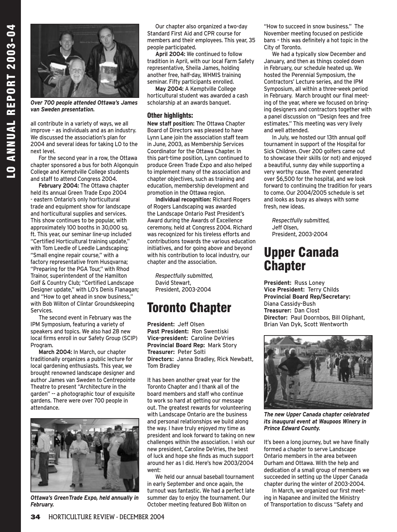

*Over 700 people attended Ottawa's James van Sweden presentation.*

all contribute in a variety of ways, we all improve – as individuals and as an industry. We discussed the association's plan for 2004 and several ideas for taking LO to the next level.

For the second year in a row, the Ottawa chapter sponsored a bus for both Algonquin College and Kemptville College students and staff to attend Congress 2004.

**February 2004:** The Ottawa chapter held its annual Green Trade Expo 2004 - eastern Ontario's only horticultural trade and equipment show for landscape and horticultural supplies and services. This show continues to be popular, with approximately 100 booths in 30,000 sq. ft. This year, our seminar line-up included "Certified Horticultural training update," with Tom Leedle of Leedle Landscaping; "Small engine repair course," with a factory representative from Husqvarna; "Preparing for the PGA Tour," with Rhod Trainor, superintendent of the Hamilton Golf & Country Club; "Certified Landscape Designer update," with LO's Denis Flanagan; and "How to get ahead in snow business," with Bob Wilton of Clintar Groundskeeping Services.

The second event in February was the IPM Symposium, featuring a variety of speakers and topics. We also had 28 new local firms enroll in our Safety Group (SCIP) Program.

**March 2004:** In March, our chapter traditionally organizes a public lecture for local gardening enthusiasts. This year, we brought renowned landscape designer and author James van Sweden to Centrepointe Theatre to present "Architecture in the garden" -- a photographic tour of exquisite gardens. There were over 700 people in attendance.



*Ottawa's GreenTrade Expo, held annually in February.*

Our chapter also organized a two-day Standard First Aid and CPR course for members and their employees. This year, 35 people participated.

**April 2004:** We continued to follow tradition in April, with our local Farm Safety representative, Sheila James, holding another free, half-day, WHMIS training seminar. Fifty participants enrolled.

**May 2004:** A Kemptville College horticultural student was awarded a cash scholarship at an awards banquet.

#### Other highlights:

**New staff position:** The Ottawa Chapter Board of Directors was pleased to have Lynn Lane join the association staff team in June, 2003, as Membership Services Coordinator for the Ottawa Chapter. In this part-time position, Lynn continued to produce Green Trade Expo and also helped to implement many of the association and chapter objectives, such as training and education, membership development and promotion in the Ottawa region.

**Individual recognition:** Richard Rogers of Rogers Landscaping was awarded the Landscape Ontario Past President's Award during the Awards of Excellence ceremony, held at Congress 2004. Richard was recognized for his tireless efforts and contributions towards the various education initiatives, and for going above and beyond with his contribution to local industry, our chapter and the association.

*Respectfully submitted,* David Stewart, President, 2003-2004

## Toronto Chapter

**President:** Jeff Olsen **Past President:** Ron Swentiski **Vice-president:** Caroline DeVries **Provincial Board Rep:** Mark Story **Treasurer:** Peter Solti **Directors:** Janna Bradley, Rick Newbatt, Tom Bradley

It has been another great year for the Toronto Chapter and I thank all of the board members and staff who continue to work so hard at getting our message out. The greatest rewards for volunteering with Landscape Ontario are the business and personal relationships we build along the way. I have truly enjoyed my time as president and look forward to taking on new challenges within the association. I wish our new president, Caroline DeVries, the best of luck and hope she finds as much support around her as I did. Here's how 2003/2004 went:

We held our annual baseball tournament in early September and once again, the turnout was fantastic. We had a perfect late summer day to enjoy the tournament. Our October meeting featured Bob Wilton on

"How to succeed in snow business." The November meeting focused on pesticide bans – this was definitely a hot topic in the City of Toronto.

We had a typically slow December and January, and then as things cooled down in February, our schedule heated up. We hosted the Perennial Symposium, the Contractors' Lecture series, and the IPM Symposium, all within a three-week period in February. March brought our final meeting of the year, where we focused on bringing designers and contractors together with a panel discussion on "Design fees and free estimates." This meeting was very lively and well attended.

In July, we hosted our 13th annual golf tournament in support of the Hospital for Sick Children. Over 200 golfers came out to showcase their skills (or not) and enjoyed a beautiful, sunny day while supporting a very worthy cause. The event generated over \$6,500 for the hospital, and we look forward to continuing the tradition for years to come. Our 2004/2005 schedule is set and looks as busy as always with some fresh, new ideas.

*Respectfully submitted,* Jeff Olsen, President, 2003-2004

## Upper Canada **Chapter**

**President:** Russ Loney **Vice President:** Terry Childs **Provincial Board Rep/Secretary:** Diana Cassidy-Bush **Treasurer:** Dan Clost **Director:** Paul Doornbos, Bill Oliphant, Brian Van Dyk, Scott Wentworth



*The new Upper Canada chapter celebrated its inaugural event at Waupoos Winery in Prince Edward County.*

It's been a long journey, but we have finally formed a chapter to serve Landscape Ontario members in the area between Durham and Ottawa. With the help and dedication of a small group of members we succeeded in setting up the Upper Canada chapter during the winter of 2003-2004.

In March, we organized our first meeting in Napanee and invited the Ministry of Transportation to discuss "Safety and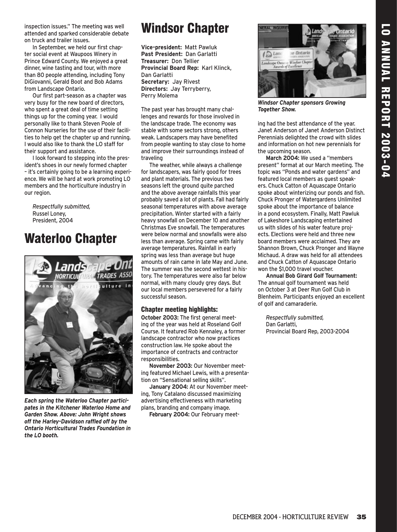inspection issues." The meeting was well attended and sparked considerable debate on truck and trailer issues.

In September, we held our first chapter social event at Waupoos Winery in Prince Edward County. We enjoyed a great dinner, wine tasting and tour, with more than 80 people attending, including Tony DiGiovanni, Gerald Boot and Bob Adams from Landscape Ontario.

Our first part-season as a chapter was very busy for the new board of directors, who spent a great deal of time setting things up for the coming year. I would personally like to thank Steven Poole of Connon Nurseries for the use of their facilities to help get the chapter up and running. I would also like to thank the LO staff for their support and assistance.

I look forward to stepping into the president's shoes in our newly formed chapter – it's certainly going to be a learning experience. We will be hard at work promoting LO members and the horticulture industry in our region.

*Respectfully submitted,* Russel Loney, President, 2004

### Waterloo Chapter



*Each spring the Waterloo Chapter participates in the Kitchener Waterloo Home and Garden Show. Above: John Wright shows off the Harley-Davidson raffled off by the Ontario Horticultural Trades Foundation in the LO booth.*

## Windsor Chapter

**Vice-president:** Matt Pawluk **Past President:** Dan Garlatti **Treasurer:** Don Tellier **Provincial Board Rep:** Karl Klinck, Dan Garlatti **Secretary:** Jay Rivest **Directors:** Jay Terryberry, Perry Molema

The past year has brought many challenges and rewards for those involved in the landscape trade. The economy was stable with some sectors strong, others weak. Landscapers may have benefited from people wanting to stay close to home and improve their surroundings instead of traveling

The weather, while always a challenge for landscapers, was fairly good for trees and plant materials. The previous two seasons left the ground quite parched and the above average rainfalls this year probably saved a lot of plants. Fall had fairly seasonal temperatures with above average precipitation. Winter started with a fairly heavy snowfall on December 10 and another Christmas Eve snowfall. The temperatures were below normal and snowfalls were also less than average. Spring came with fairly average temperatures. Rainfall in early spring was less than average but huge amounts of rain came in late May and June. The summer was the second wettest in history. The temperatures were also far below normal, with many cloudy grey days. But our local members persevered for a fairly successful season.

#### Chapter meeting highlights:

**October 2003:** The first general meeting of the year was held at Roseland Golf Course. It featured Rob Kennaley, a former landscape contractor who now practices construction law. He spoke about the importance of contracts and contractor responsibilities.

**November 2003:** Our November meeting featured Michael Lewis, with a presentation on "Sensational selling skills".

**January 2004:** At our November meeting, Tony Catalano discussed maximizing advertising effectiveness with marketing plans, branding and company image.

**February 2004:** Our February meet-



*Windsor Chapter sponsors Growing Together Show.* 

ing had the best attendance of the year. Janet Anderson of Janet Anderson Distinct Perennials delighted the crowd with slides and information on hot new perennials for the upcoming season.

**March 2004:** We used a "members present" format at our March meeting. The topic was "Ponds and water gardens" and featured local members as guest speakers. Chuck Catton of Aquascape Ontario spoke about winterizing our ponds and fish. Chuck Pronger of Watergardens Unlimited spoke about the importance of balance in a pond ecosystem. Finally, Matt Pawluk of Lakeshore Landscaping entertained us with slides of his water feature projects. Elections were held and three new board members were acclaimed. They are Shannon Brown, Chuck Pronger and Wayne Michaud. A draw was held for all attendees and Chuck Catton of Aquascape Ontario won the \$1,000 travel voucher.

**Annual Bob Girard Golf Tournament:**  The annual golf tournament was held on October 3 at Deer Run Golf Club in Blenheim. Participants enjoyed an excellent of golf and camaraderie.

*Respectfully submitted,* Dan Garlatti, Provincial Board Rep, 2003-2004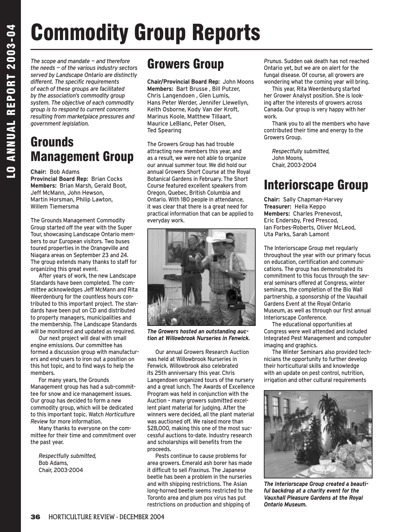## Commodity Group Reports

*The scope and mandate — and therefore the needs — of the various industry sectors served by Landscape Ontario are distinctly different. The specific requirements of each of these groups are facilitated by the association's commodity group system. The objective of each commodity group is to respond to current concerns resulting from marketplace pressures and government legislation.*

### Grounds Management Group

#### **Chair:** Bob Adams

**Provincial Board Rep:** Brian Cocks **Members:** Brian Marsh, Gerald Boot, Jeff McMann, John Hewson, Martin Horsman, Philip Lawton, Willem Tiemersma

The Grounds Management Commodity Group started off the year with the Super Tour, showcasing Landscape Ontario members to our European visitors. Two buses toured properties in the Orangeville and Niagara areas on September 23 and 24. The group extends many thanks to staff for organizing this great event.

After years of work, the new Landscape Standards have been completed. The committee acknowledges Jeff McMann and Rita Weerdenburg for the countless hours contributed to this important project. The standards have been put on CD and distributed to property managers, municipalities and the membership. The Landscape Standards will be monitored and updated as required.

Our next project will deal with small engine emissions. Our committee has formed a discussion group with manufacturers and end-users to iron out a position on this hot topic, and to find ways to help the members.

For many years, the Grounds Management group has had a sub-committee for snow and ice management issues. Our group has decided to form a new commodity group, which will be dedicated to this important topic. Watch *Horticulture Review* for more information.

Many thanks to everyone on the committee for their time and commitment over the past year.

*Respectfully submitted,* Bob Adams, Chair, 2003-2004

## Growers Group

**Chair/Provincial Board Rep:** John Moons **Members:** Bart Brusse , Bill Putzer, Chris Langendoen , Glen Lumis, Hans Peter Werder, Jennifer Llewellyn, Keith Osborne, Kody Van der Kroft, Marinus Koole, Matthew Tillaart, Maurice LeBlanc, Peter Olsen, Ted Spearing

The Growers Group has had trouble attracting new members this year, and as a result, we were not able to organize our annual summer tour. We did hold our annual Growers Short Course at the Royal Botanical Gardens in February. The Short Course featured excellent speakers from Oregon, Quebec, British Columbia and Ontario. With 180 people in attendance, it was clear that there is a great need for practical information that can be applied to everyday work.



*The Growers hosted an outstanding auction at Willowbrook Nurseries in Fenwick.*

Our annual Growers Research Auction was held at Willowbrook Nurseries in Fenwick. Willowbrook also celebrated its 25th anniversary this year. Chris Langendoen organized tours of the nursery and a great lunch. The Awards of Excellence Program was held in conjunction with the Auction – many growers submitted excellent plant material for judging. After the winners were decided, all the plant material was auctioned off. We raised more than \$28,000, making this one of the most successful auctions to-date. Industry research and scholarships will benefits from the proceeds.

Pests continue to cause problems for area growers. Emerald ash borer has made it difficult to sell *Fraxinus*. The Japanese beetle has been a problem in the nurseries and with shipping restrictions. The Asian long-horned beetle seems restricted to the Toronto area and plum pox virus has put restrictions on production and shipping of

*Prunus*. Sudden oak death has not reached Ontario yet, but we are on alert for the fungal disease. Of course, all growers are wondering what the coming year will bring.

This year, Rita Weerdenburg started her Grower Analyst position. She is looking after the interests of growers across Canada. Our group is very happy with her work.

Thank you to all the members who have contributed their time and energy to the Growers Group.

*Respectfully submitted,* John Moons, Chair, 2003-2004

## Interiorscape Group

**Chair:** Sally Chapman-Harvey **Treasurer:** Hella Keppo **Members:** Charles Prenevost, Eric Endersby, Fred Prescod, Ian Forbes-Roberts, Oliver McLeod, Uta Parks, Sarah Lamont

The Interiorscape Group met regularly throughout the year with our primary focus on education, certification and communications. The group has demonstrated its commitment to this focus through the several seminars offered at Congress, winter seminars, the completion of the Bio Wall partnership, a sponsorship of the Vauxhall Gardens Event at the Royal Ontario Museum, as well as through our first annual Interiorscape Conference.

The educational opportunities at Congress were well attended and included Integrated Pest Management and computer imaging and graphics.

The Winter Seminars also provided technicians the opportunity to further develop their horticultural skills and knowledge with an update on pest control, nutrition, irrigation and other cultural requirements



*The Interiorscape Group created a beautiful backdrop at a charity event for the Vauxhall Pleasure Gardens at the Royal Ontario Museum.*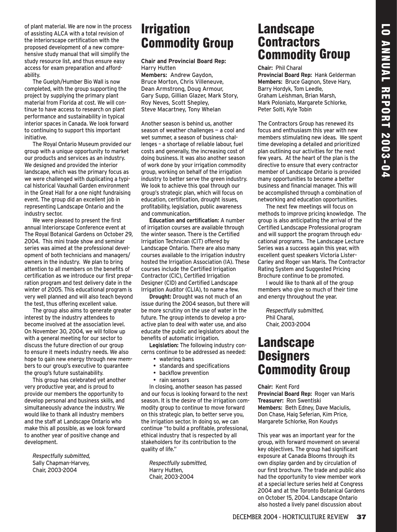of plant material. We are now in the process of assisting ALCA with a total revision of the interiorscape certification with the proposed development of a new comprehensive study manual that will simplify the study resource list, and thus ensure easy access for exam preparation and affordability.

The Guelph/Humber Bio Wall is now completed, with the group supporting the project by supplying the primary plant material from Florida at cost. We will continue to have access to research on plant performance and sustainability in typical interior spaces in Canada. We look forward to continuing to support this important initiative.

The Royal Ontario Museum provided our group with a unique opportunity to market our products and services as an industry. We designed and provided the interior landscape, which was the primary focus as we were challenged with duplicating a typical historical Vauxhall Garden environment in the Great Hall for a one night fundraising event. The group did an excellent job in representing Landscape Ontario and the industry sector.

We were pleased to present the first annual Interiorscape Conference event at The Royal Botanical Gardens on October 29, 2004. This mini trade show and seminar series was aimed at the professional development of both technicians and managers/ owners in the industry. We plan to bring attention to all members on the benefits of certification as we introduce our first preparation program and test delivery date in the winter of 2005. This educational program is very well planned and will also teach beyond the test, thus offering excellent value.

The group also aims to generate greater interest by the industry attendees to become involved at the association level. On November 30, 2004, we will follow up with a general meeting for our sector to discuss the future direction of our group to ensure it meets industry needs. We also hope to gain new energy through new members to our group's executive to guarantee the group's future sustainability.

This group has celebrated yet another very productive year, and is proud to provide our members the opportunity to develop personal and business skills, and simultaneously advance the industry. We would like to thank all industry members and the staff at Landscape Ontario who make this all possible, as we look forward to another year of positive change and development.

*Respectfully submitted,* Sally Chapman-Harvey, Chair, 2003-2004

## Irrigation Commodity Group

#### **Chair and Provincial Board Rep:**  Harry Hutten

**Members:** Andrew Gaydon, Bruce Morton, Chris Villeneuve, Dean Armstrong, Doug Armour, Gary Supp, Gillian Glazer, Mark Story, Roy Neves, Scott Shepley, Steve Macartney, Tony Whelan

Another season is behind us, another season of weather challenges — a cool and wet summer, a season of business challenges – a shortage of reliable labour, fuel costs and generally, the increasing cost of doing business. It was also another season of work done by your irrigation commodity group, working on behalf of the irrigation industry to better serve the green industry. We look to achieve this goal through our group's strategic plan, which will focus on education, certification, drought issues, profitability, legislation, public awareness and communication.

**Education and certification:** A number of irrigation courses are available through the winter season. There is the Certified Irrigation Technican (CIT) offered by Landscape Ontario. There are also many courses available to the irrigation industry hosted the Irrigation Association (IA). These courses include the Certified Irrigation Contractor (CIC), Certified Irrigation Designer (CID) and Certified Landscape Irrigation Auditor (CLIA), to name a few.

**Drought:** Drought was not much of an issue during the 2004 season, but there will be more scrutiny on the use of water in the future. The group intends to develop a proactive plan to deal with water use, and also educate the public and legislators about the benefits of automatic irrigation.

**Legislation:** The following industry concerns continue to be addressed as needed:

- watering bans
- standards and specifications
- backflow prevention
- rain sensors

In closing, another season has passed and our focus is looking forward to the next season. It is the desire of the irrigation commodity group to continue to move forward on this strategic plan, to better serve you, the irrigation sector. In doing so, we can continue "to build a profitable, professional, ethical industry that is respected by all stakeholders for its contribution to the quality of life."

*Respectfully submitted,* Harry Hutten, Chair, 2003-2004

#### Landscape **Contractors** Commodity Group

**Chair:** Phil Charal **Provincial Board Rep:** Hank Gelderman **Members:** Bruce Gagnon, Steve Hary, Barry Hordyk, Tom Leedle, Graham Leishman, Brian Marsh, Mark Poloniato, Margarete Schlorke, Peter Solti, Kyle Tobin

The Contractors Group has renewed its focus and enthusiasm this year with new members stimulating new ideas. We spent time developing a detailed and prioritized plan outlining our activities for the next few years. At the heart of the plan is the directive to ensure that every contractor member of Landscape Ontario is provided many opportunities to become a better business and financial manager. This will be accomplished through a combination of networking and education opportunities.

The next few meetings will focus on methods to improve pricing knowledge. The group is also anticipating the arrival of the Certified Landscape Professional program and will support the program through educational programs. The Landscape Lecture Series was a success again this year, with excellent guest speakers Victoria Lister-Carley and Roger van Maris. The Contractor Rating System and Suggested Pricing Brochure continue to be promoted.

I would like to thank all of the group members who give so much of their time and energy throughout the year.

*Respectfully submitted,* Phil Charal, Chair, 2003-2004

#### Landscape **Designers** Commodity Group

**Chair:** Kent Ford

**Provincial Board Rep:** Roger van Maris **Treasurer:** Ron Swentiski **Members:** Beth Edney, Dave Maciulis, Don Chase, Haig Seferian, Kim Price, Margarete Schlorke, Ron Koudys

This year was an important year for the group, with forward movement on several key objectives. The group had significant exposure at Canada Blooms through its own display garden and by circulation of our first brochure. The trade and public also had the opportunity to view member work at a special lecture series held at Congress 2004 and at the Toronto Botanical Gardens on October 15, 2004. Landscape Ontario also hosted a lively panel discussion about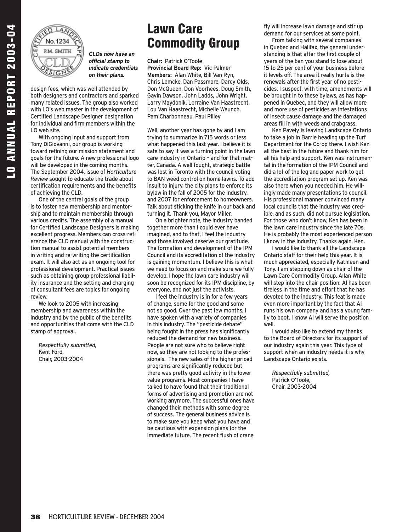



*CLDs now have an official stamp to indicate credentials on their plans.*

design fees, which was well attended by both designers and contractors and sparked many related issues. The group also worked with LO's web master in the development of Certified Landscape Designer designation for individual and firm members within the LO web site.

With ongoing input and support from Tony DiGiovanni, our group is working toward refining our mission statement and goals for the future. A new professional logo will be developed in the coming months. The September 2004, issue of *Horticulture Review* sought to educate the trade about certification requirements and the benefits of achieving the CLD.

One of the central goals of the group is to foster new membership and mentorship and to maintain membership through various credits. The assembly of a manual for Certified Landscape Designers is making excellent progress. Members can cross-reference the CLD manual with the construction manual to assist potential members in writing and re-writing the certification exam. It will also act as an ongoing tool for professional development. Practical issues such as obtaining group professional liability insurance and the setting and charging of consultant fees are topics for ongoing review.

We look to 2005 with increasing membership and awareness within the industry and by the public of the benefits and opportunities that come with the CLD stamp of approval.

*Respectfully submitted,* Kent Ford, Chair, 2003-2004

## Lawn Care Commodity Group

**Chair:** Patrick O'Toole

**Provincial Board Rep:** Vic Palmer **Members:** Alan White, Bill Van Ryn, Chris Lemcke, Dan Passmore, Darcy Olds, Don McQueen, Don Voorhees, Doug Smith, Gavin Dawson, John Ladds, John Wright, Larry Maydonik, Lorraine Van Haastrecht, Lou Van Haastrecht, Michelle Waunch, Pam Charbonneau, Paul Pilley

Well, another year has gone by and I am trying to summarize in 715 words or less what happened this last year. I believe it is safe to say it was a turning point in the lawn care industry in Ontario – and for that matter, Canada. A well fought, strategic battle was lost in Toronto with the council voting to BAN weed control on home lawns. To add insult to injury, the city plans to enforce its bylaw in the fall of 2005 for the industry, and 2007 for enforcement to homeowners. Talk about sticking the knife in our back and turning it. Thank you, Mayor Miller.

On a brighter note, the industry banded together more than I could ever have imagined, and to that, I feel the industry and those involved deserve our gratitude. The formation and development of the IPM Council and its accreditation of the industry is gaining momentum. I believe this is what we need to focus on and make sure we fully develop. I hope the lawn care industry will soon be recognized for its IPM discipline, by everyone, and not just the activists.

I feel the industry is in for a few years of change, some for the good and some not so good. Over the past few months, I have spoken with a variety of companies in this industry. The "pesticide debate" being fought in the press has significantly reduced the demand for new business. People are not sure who to believe right now, so they are not looking to the professionals. The new sales of the higher priced programs are significantly reduced but there was pretty good activity in the lower value programs. Most companies I have talked to have found that their traditional forms of advertising and promotion are not working anymore. The successful ones have changed their methods with some degree of success. The general business advice is to make sure you keep what you have and be cautious with expansion plans for the immediate future. The recent flush of crane

fly will increase lawn damage and stir up demand for our services at some point.

From talking with several companies in Quebec and Halifax, the general understanding is that after the first couple of years of the ban you stand to lose about 15 to 25 per cent of your business before it levels off. The area it really hurts is the renewals after the first year of no pesticides. I suspect, with time, amendments will be brought in to these bylaws, as has happened in Quebec, and they will allow more and more use of pesticides as infestations of insect cause damage and the damaged areas fill in with weeds and crabgrass.

Ken Pavely is leaving Landscape Ontario to take a job in Barrie heading up the Turf Department for the Co-op there. I wish Ken all the best in the future and thank him for all his help and support. Ken was instrumental in the formation of the IPM Council and did a lot of the leg and paper work to get the accreditation program set up. Ken was also there when you needed him. He willingly made many presentations to council. His professional manner convinced many local councils that the industry was credible, and as such, did not pursue legislation. For those who don't know, Ken has been in the lawn care industry since the late 70s. He is probably the most experienced person I know in the industry. Thanks again, Ken.

I would like to thank all the Landscape Ontario staff for their help this year. It is much appreciated, especially Kathleen and Tony. I am stepping down as chair of the Lawn Care Commodity Group. Allan White will step into the chair position. Al has been tireless in the time and effort that he has devoted to the industry. This feat is made even more important by the fact that Al runs his own company and has a young family to boot. I know Al will serve the position well.

I would also like to extend my thanks to the Board of Directors for its support of our industry again this year. This type of support when an industry needs it is why Landscape Ontario exists.

*Respectfully submitted,* Patrick O'Toole, Chair, 2003-2004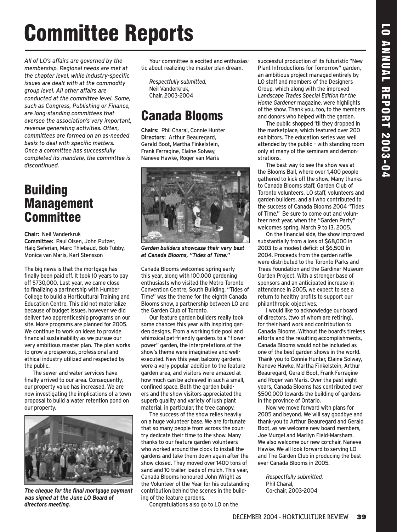## Committee Reports

*All of LO's affairs are governed by the membership. Regional needs are met at the chapter level, while industry-specific issues are dealt with at the commodity group level. All other affairs are conducted at the committee level. Some, such as Congress, Publishing or Finance, are long-standing committees that oversee the association's very important, revenue generating activities. Often, committees are formed on an as-needed basis to deal with specific matters. Once a committee has successfully completed its mandate, the committee is discontinued.*

## Building Management **Committee**

**Chair:** Neil Vanderkruk **Committee:** Paul Olsen, John Putzer, Haig Seferian, Marc Thiebaud, Bob Tubby, Monica van Maris, Karl Stensson

The big news is that the mortgage has finally been paid off. It took 10 years to pay off \$730,000. Last year, we came close to finalizing a partnership with Humber College to build a Horticultural Training and Education Centre. This did not materialize because of budget issues, however we did deliver two apprenticeship programs on our site. More programs are planned for 2005. We continue to work on ideas to provide financial sustainability as we pursue our very ambitious master plan. The plan works to grow a prosperous, professional and ethical industry utilized and respected by the public.

The sewer and water services have finally arrived to our area. Consequently, our property value has increased. We are now investigating the implications of a town proposal to build a water retention pond on our property.



*The cheque for the final mortgage payment was signed at the June LO Board of directors meeting.* 

Your committee is excited and enthusiastic about realizing the master plan dream.

*Respectfully submitted,* Neil Vanderkruk, Chair, 2003-2004

## Canada Blooms

**Chairs:** Phil Charal, Connie Hunter **Directors:** Arthur Beauregard, Garald Boot, Martha Finkelstein, Frank Ferragine, Elaine Solway, Naneve Hawke, Roger van Maris



*Garden builders showcase their very best at Canada Blooms, "Tides of Time."*

Canada Blooms welcomed spring early this year, along with 100,000 gardening enthusiasts who visited the Metro Toronto Convention Centre, South Building. "Tides of Time" was the theme for the eighth Canada Blooms show, a partnership between LO and the Garden Club of Toronto.

Our feature garden builders really took some chances this year with inspiring garden designs. From a working tide pool and whimsical pet-friendly gardens to a "flower power" garden, the interpretations of the show's theme were imaginative and wellexecuted. New this year, balcony gardens were a very popular addition to the feature garden area, and visitors were amazed at how much can be achieved in such a small, confined space. Both the garden builders and the show visitors appreciated the superb quality and variety of lush plant material, in particular, the tree canopy.

The success of the show relies heavily on a huge volunteer base. We are fortunate that so many people from across the country dedicate their time to the show. Many thanks to our feature garden volunteers who worked around the clock to install the gardens and take them down again after the show closed. They moved over 1400 tons of sand and 10 trailer loads of mulch. This year, Canada Blooms honoured John Wright as the Volunteer of the Year for his outstanding contribution behind the scenes in the building of the feature gardens.

Congratulations also go to LO on the

successful production of its futuristic "New Plant Introductions for Tomorrow" garden, an ambitious project managed entirely by LO staff and members of the Designers Group, which along with the improved *Landscape Trades Special Edition for the Home Gardener* magazine, were highlights of the show. Thank you, too, to the members and donors who helped with the garden.

The public shopped 'til they dropped in the marketplace, which featured over 200 exhibitors. The education series was well attended by the public – with standing room only at many of the seminars and demonstrations.

The best way to see the show was at the Blooms Ball, where over 1,400 people gathered to kick off the show. Many thanks to Canada Blooms staff, Garden Club of Toronto volunteers, LO staff, volunteers and garden builders, and all who contributed to the success of Canada Blooms 2004 "Tides of Time." Be sure to come out and volunteer next year, when the "Garden Party" welcomes spring, March 9 to 13, 2005.

On the financial side, the show improved substantially from a loss of \$68,000 in 2003 to a modest deficit of \$6,500 in 2004. Proceeds from the garden raffle were distributed to the Toronto Parks and Trees Foundation and the Gardiner Museum Garden Project. With a stronger base of sponsors and an anticipated increase in attendance in 2005, we expect to see a return to healthy profits to support our philanthropic objectives.

I would like to acknowledge our board of directors, (two of whom are retiring), for their hard work and contribution to Canada Blooms. Without the board's tireless efforts and the resulting accomplishments, Canada Blooms would not be included as one of the best garden shows in the world. Thank you to Connie Hunter, Elaine Solway, Naneve Hawke, Martha Finkelstein, Arthur Beauregard, Gerald Boot, Frank Ferragine and Roger van Maris. Over the past eight years, Canada Blooms has contributed over \$500,000 towards the building of gardens in the province of Ontario.

Now we move forward with plans for 2005 and beyond. We will say goodbye and thank-you to Arthur Beauregard and Gerald Boot, as we welcome new board members, Joe Murgel and Marilyn Field-Marsham. We also welcome our new co-chair, Naneve Hawke. We all look forward to serving LO and The Garden Club in producing the best ever Canada Blooms in 2005.

*Respectfully submitted,* Phil Charal, Co-chair, 2003-2004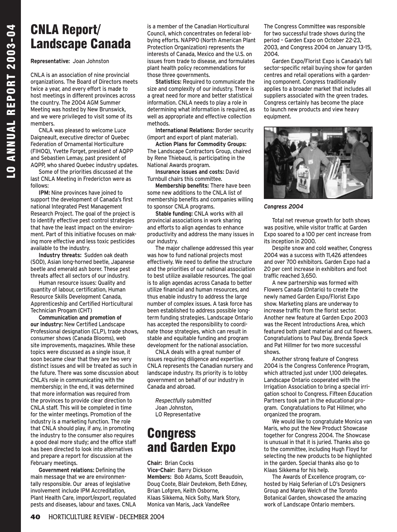## CNLA Report/ Landscape Canada

**Representative:** Joan Johnston

CNLA is an association of nine provincial organizations. The Board of Directors meets twice a year, and every effort is made to host meetings in different provinces across the country. The 2004 AGM Summer Meeting was hosted by New Brunswick, and we were privileged to visit some of its members.

CNLA was pleased to welcome Luce Daigneault, executive director of Quebec Federation of Ornamental Horticulture (FIHOQ), Yvette Forget, president of AQPP and Sebastien Lemay, past president of AQPP, who shared Quebec industry updates.

Some of the priorities discussed at the last CNLA Meeting in Fredericton were as follows:

**IPM:** Nine provinces have joined to support the development of Canada's first national Integrated Pest Management Research Project. The goal of the project is to identify effective pest control strategies that have the least impact on the environment. Part of this initiative focuses on making more effective and less toxic pesticides available to the industry.

**Industry threats:** Sudden oak death (SOD), Asian long-horned beetle, Japanese beetle and emerald ash borer. These pest threats affect all sectors of our industry.

Human resource issues: Quality and quantity of labour, certification, Human Resource Skills Development Canada, Apprenticeship and Certified Horticultural Technician Progam (CHT)

**Communication and promotion of our industry:** New Certified Landscape Professional designation (CLP), trade shows, consumer shows (Canada Blooms), web site improvements, magazines. While these topics were discussed as a single issue, it soon became clear that they are two very distinct issues and will be treated as such in the future. There was some discussion about CNLA's role in communicating with the membership; in the end, it was determined that more information was required from the provinces to provide clear direction to CNLA staff. This will be completed in time for the winter meetings. Promotion of the industry is a marketing function. The role that CNLA should play, if any, in promoting the industry to the consumer also requires a good deal more study; and the office staff has been directed to look into alternatives and prepare a report for discussion at the February meetings.

**Government relations:** Defining the main message that we are environmentally responsible. Our areas of legislative involvement include IPM Accreditation, Plant Health Care, import/export, regulated pests and diseases, labour and taxes. CNLA is a member of the Canadian Horticultural Council, which concentrates on federal lobbying efforts. NAPPO (North American Plant Protection Organization) represents the interests of Canada, Mexico and the U.S. on issues from trade to disease, and formulates plant health policy recommendations for those three governments.

**Statistics:** Required to communicate the size and complexity of our industry. There is a great need for more and better statistical information. CNLA needs to play a role in determining what information is required, as well as appropriate and effective collection methods.

**International Relations:** Border security (import and export of plant material).

**Action Plans for Commodity Groups:**  The Landscape Contractors Group, chaired by Rene Thiebaud, is participating in the National Awards program.

**Insurance issues and costs:** David Turnbull chairs this committee.

**Membership benefits:** There have been some new additions to the CNLA list of membership benefits and companies willing to sponsor CNLA programs.

**Stable funding:** CNLA works with all provincial associations in work sharing and efforts to align agendas to enhance productivity and address the many issues in our industry.

The major challenge addressed this year was how to fund national projects most effectively. We need to define the structure and the priorities of our national association to best utilize available resources. The goal is to align agendas across Canada to better utilize financial and human resources, and thus enable industry to address the large number of complex issues. A task force has been established to address possible longterm funding strategies. Landscape Ontario has accepted the responsibility to coordinate those strategies, which can result in stable and equitable funding and program development for the national association.

CNLA deals with a great number of issues requiring diligence and expertise. CNLA represents the Canadian nursery and landscape industry. Its priority is to lobby government on behalf of our industry in Canada and abroad.

*Respectfully submitted* Joan Johnston, LO Representative

#### **Congress** and Garden Expo

**Chair:** Brian Cocks **Vice-Chair:** Barry Dickson **Members:** Bob Adams, Scott Beaudoin, Doug Coote, Blair Deutekom, Beth Edney, Brian Lofgren, Keith Osborne, Klaas Sikkema, Nick Solty, Mark Story, Monica van Maris, Jack VandeRee

The Congress Committee was responsible for two successful trade shows during the period – Garden Expo on October 22-23, 2003, and Congress 2004 on January 13-15, 2004.

Garden Expo/Florist Expo is Canada's fall sector-specific retail buying show for garden centres and retail operations with a gardening component. Congress traditionally applies to a broader market that includes all suppliers associated with the green trades. Congress certainly has become the place to launch new products and view heavy equipment.



*Congress 2004*

Total net revenue growth for both shows was positive, while visitor traffic at Garden Expo soared to a 100 per cent increase from its inception in 2000.

Despite snow and cold weather, Congress 2004 was a success with 11,426 attendees and over 700 exhibitors. Garden Expo had a 20 per cent increase in exhibitors and foot traffic reached 3,650.

A new partnership was formed with Flowers Canada (Ontario) to create the newly named Garden Expo/Florist Expo show. Marketing plans are underway to increase traffic from the florist sector. Another new feature at Garden Expo 2003 was the Recent Introductions Area, which featured both plant material and cut flowers. Congratulations to Paul Day, Brenda Speck and Pat Hillmer for two more successful shows.

Another strong feature of Congress 2004 is the Congress Conference Program, which attracted just under 1,100 delegates. Landscape Ontario cooperated with the Irrigation Association to bring a special irrigation school to Congress. Fifteen Education Partners took part in the educational program. Congratulations to Pat Hillmer, who organized the program.

We would like to congratulate Monica van Maris, who put the New Product Showcase together for Congress 2004. The Showcase is unusual in that it is juried. Thanks also go to the committee, including Hugh Floyd for selecting the new products to be highlighted in the garden. Special thanks also go to Klaas Sikkema for his help.

The Awards of Excellence program, cohosted by Haig Seferian of LO's Designers Group and Margo Welch of the Toronto Botanical Garden, showcased the amazing work of Landscape Ontario members.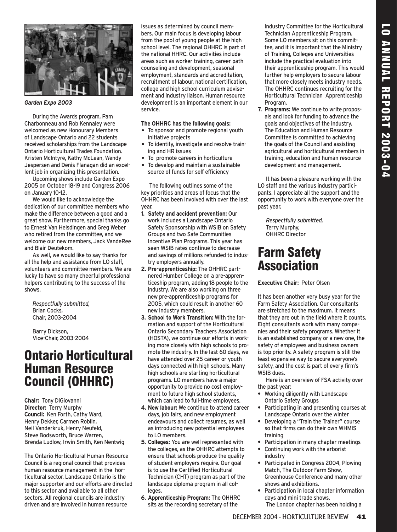

#### *Garden Expo 2003*

During the Awards program, Pam Charbonneau and Rob Kennaley were welcomed as new Honourary Members of Landscape Ontario and 22 students received scholarships from the Landscape Ontario Horticultural Trades Foundation. Kristen McIntyre, Kathy McLean, Wendy Jespersen and Denis Flanagan did an excellent job in organizing this presentation.

Upcoming shows include Garden Expo 2005 on October 18-19 and Congress 2006 on January 10-12.

We would like to acknowledge the dedication of our committee members who make the difference between a good and a great show. Furthermore, special thanks go to Ernest Van Helsdingen and Greg Weber who retired from the committee, and we welcome our new members, Jack VandeRee and Blair Deutekom.

As well, we would like to say thanks for all the help and assistance from LO staff, volunteers and committee members. We are lucky to have so many cheerful professional helpers contributing to the success of the shows.

*Respectfully submitted,* Brian Cocks, Chair, 2003-2004

Barry Dickson, Vice-Chair, 2003-2004

#### Ontario Horticultural Human Resource Council (OHHRC)

**Chair:** Tony DiGiovanni **Director:** Terry Murphy **Council:** Ken Forth, Cathy Ward, Henry Dekker, Carmen Roblin, Neil Vanderkruk, Henry Neufeld, Steve Bodsworth, Bruce Warren, Brenda Ludlow, Irwin Smith, Ken Nentwig

The Ontario Horticultural Human Resource Council is a regional council that provides human resource management in the horticultural sector. Landscape Ontario is the major supporter and our efforts are directed to this sector and available to all other sectors. All regional councils are industry driven and are involved in human resource

issues as determined by council members. Our main focus is developing labour from the pool of young people at the high school level. The regional OHHRC is part of the national HHRC. Our activities include areas such as worker training, career path counseling and development, seasonal employment, standards and accreditation, recruitment of labour, national certification, college and high school curriculum advisement and industry liaison. Human resource development is an important element in our service.

#### **The OHHRC has the following goals:**

- **•** To sponsor and promote regional youth initiative projects
- **•** To identify, investigate and resolve training and HR issues
- **•** To promote careers in horticulture
- **•** To develop and maintain a sustainable source of funds for self efficiency

The following outlines some of the key priorities and areas of focus that the OHHRC has been involved with over the last year.

- **1. Safety and accident prevention:** Our work includes a Landscape Ontario Safety Sponsorship with WSIB on Safety Groups and two Safe Communities Incentive Plan Programs. This year has seen WSIB rates continue to decrease and savings of millions refunded to industry employers annually.
- **2. Pre-apprenticeship:** The OHHRC partnered Humber College on a pre-apprenticeship program, adding 18 people to the industry. We are also working on three new pre-apprenticeship programs for 2005, which could result in another 60 new industry members.
- **3. School to Work Transition:** With the formation and support of the Horticultural Ontario Secondary Teachers Association (HOSTA), we continue our efforts in working more closely with high schools to promote the industry. In the last 60 days, we have attended over 25 career or youth days connected with high schools. Many high schools are starting horticultural programs. LO members have a major opportunity to provide no cost employment to future high school students, which can lead to full-time employees.
- **4. New labour:** We continue to attend career days, job fairs, and new employment endeavours and collect resumes, as well as introducing new potential employees to LO members.
- **5. Colleges:** You are well represented with the colleges, as the OHHRC attempts to ensure that schools produce the quality of student employers require. Our goal is to use the Certified Horticultural Technician (CHT) program as part of the landscape diploma program in all colleges.
- **6. Apprenticeship Program:** The OHHRC sits as the recording secretary of the

Industry Committee for the Horticultural Technician Apprenticeship Program. Some LO members sit on this committee, and it is important that the Ministry of Training, Colleges and Universities include the practical evaluation into their apprenticeship program. This would further help employers to secure labour that more closely meets industry needs. The OHHRC continues recruiting for the Horticultural Technician Apprenticeship Program.

**7. Programs:** We continue to write proposals and look for funding to advance the goals and objectives of the industry. The Education and Human Resource Committee is committed to achieving the goals of the Council and assisting agricultural and horticultural members in training, education and human resource development and management.

It has been a pleasure working with the LO staff and the various industry participants. I appreciate all the support and the opportunity to work with everyone over the past year.

*Respectfully submitted,* Terry Murphy, OHHRC Director

## Farm Safety Association

**Executive Chair:** Peter Olsen

It has been another very busy year for the Farm Safety Association. Our consultants are stretched to the maximum. It means that they are out in the field where it counts. Eight consultants work with many companies and their safety programs. Whether it is an established company or a new one, the safety of employees and business owners is top priority. A safety program is still the least expensive way to secure everyone's safety, and the cost is part of every firm's WSIB dues.

Here is an overview of FSA activity over the past year:

- **•** Working diligently with Landscape Ontario Safety Groups
- **•** Participating in and presenting courses at Landscape Ontario over the winter
- **•** Developing a "Train the Trainer" course so that firms can do their own WHMIS training
- **•** Participation in many chapter meetings
- **•** Continuing work with the arborist industry
- **•** Participated in Congress 2004, Plowing Match, The Outdoor Farm Show, Greenhouse Conference and many other shows and exhibitions.
- **•** Participation in local chapter information days and mini trade shows. The London chapter has been holding a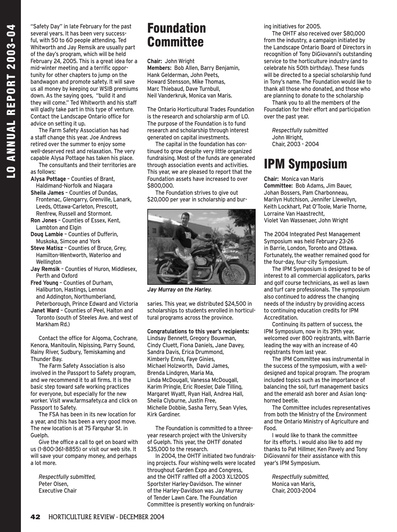"Safety Day" in late February for the past several years. It has been very successful, with 50 to 60 people attending. Ted Whitworth and Jay Remsik are usually part of the day's program, which will be held February 24, 2005. This is a great idea for a mid-winter meeting and a terrific opportunity for other chapters to jump on the bandwagon and promote safety. It will save us all money by keeping our WSIB premiums down. As the saying goes, "build it and they will come." Ted Whitworth and his staff will gladly take part in this type of venture. Contact the Landscape Ontario office for advice on setting it up.

The Farm Safety Association has had a staff change this year. Joe Andrews retired over the summer to enjoy some well-deserved rest and relaxation. The very capable Alysa Pottage has taken his place.

The consultants and their territories are as follows:

- **Alysa Pottage** Counties of Brant, Haldimand-Norfolk and Niagara
- **Sheila James** Counties of Dundas, Frontenac, Glengarry, Grenville, Lanark, Leeds, Ottawa-Carleton, Prescott, Renfrew, Russell and Stormont.
- **Ron Jones** Counties of Essex, Kent, Lambton and Elgin
- **Doug Lambie** Counties of Dufferin, Muskoka, Simcoe and York
- **Steve Matisz** Counties of Bruce, Grey, Hamilton-Wentworth, Waterloo and Wellington
- **Jay Remsik** Counties of Huron, Middlesex, Perth and Oxford

**Fred Young** – Counties of Durham, Haliburton, Hastings, Lennox and Addington, Northumberland, Peterborough, Prince Edward and Victoria

**Janet Ward** – Counties of Peel, Halton and Toronto (south of Steeles Ave. and west of Markham Rd.)

Contact the office for Algoma, Cochrane, Kenora, Manitoulin, Nipissing, Parry Sound, Rainy River, Sudbury, Temiskaming and Thunder Bay.

The Farm Safety Association is also involved in the Passport to Safety program, and we recommend it to all firms. It is the basic step toward safe working practices for everyone, but especially for the new worker. Visit www.farmsafety.ca and click on Passport to Safety.

The FSA has been in its new location for a year, and this has been a very good move. The new location is at 75 Farquhar St. in Guelph.

Give the office a call to get on board with us (1-800-361-8855) or visit our web site. It will save your company money, and perhaps a lot more.

*Respectfully submitted,*  Peter Olsen, Executive Chair

### Foundation **Committee**

**Chair:** John Wright

**Members:** Bob Allen, Barry Benjamin, Hank Gelderman, John Peets, Howard Stensson, Mike Thomas, Marc Thiebaud, Dave Turnbull, Neil Vanderkruk, Monica van Maris.

The Ontario Horticultural Trades Foundation is the research and scholarship arm of LO. The purpose of the Foundation is to fund research and scholarship through interest generated on capital investments.

The capital in the foundation has continued to grow despite very little organized fundraising. Most of the funds are generated through association events and activities. This year, we are pleased to report that the Foundation assets have increased to over \$800,000.

The Foundation strives to give out \$20,000 per year in scholarship and bur-



*Jay Murray on the Harley.*

saries. This year, we distributed \$24,500 in scholarships to students enrolled in horticultural programs across the province.

**Congratulations to this year's recipients:**

Lindsay Bennett, Gregory Bouwman, Cindy Cluett, Fiona Daniels, Jane Davey, Sandra Davis, Erica Drummond, Kimberly Ennis, Faye Ginies, Michael Holzworth, David James, Brenda Lindgren, Maria Ma, Linda McDougall, Vanessa McDougall, Karim Pringle, Eric Roesler, Dale Tilling, Margaret Wyatt, Ryan Hall, Andrea Hall, Sheila Clyburne, Justin Free, Michelle Dobbie, Sasha Terry, Sean Vyles, Kirk Gardiner.

The Foundation is committed to a threeyear research project with the University of Guelph. This year, the OHTF donated \$35,000 to the research.

In 2004, the OHTF initiated two fundraising projects. Four wishing-wells were located throughout Garden Expo and Congress, and the OHTF raffled off a 2003 XL1200S Sportster Harley-Davidson. The winner of the Harley-Davidson was Jay Murray of Tender Lawn Care. The Foundation Committee is presently working on fundraising initiatives for 2005.

The OHTF also received over \$80,000 from the industry, a campaign initiated by the Landscape Ontario Board of Directors in recognition of Tony DiGiovanni's outstanding service to the horticulture industry (and to celebrate his 50th birthday). These funds will be directed to a special scholarship fund in Tony's name. The Foundation would like to thank all those who donated, and those who are planning to donate to the scholarship

Thank you to all the members of the Foundation for their effort and participation over the past year.

*Respectfully submitted* John Wright, Chair, 2003 - 2004

## IPM Symposium

**Chair:** Monica van Maris **Committee:** Bob Adams, Jim Bauer, Johan Bossers, Pam Charbonneau, Marilyn Hutchison, Jennifer Llewellyn, Keith Lockhart, Pat O'Toole, Marie Thorne, Lorraine Van Haastrecht, Violet Van Wassenaer, John Wright

The 2004 Integrated Pest Management Symposium was held February 23-26 in Barrie, London, Toronto and Ottawa. Fortunately, the weather remained good for the four-day, four-city Symposium.

The IPM Symposium is designed to be of interest to all commercial applicators, parks and golf course technicians, as well as lawn and turf care professionals. The symposium also continued to address the changing needs of the industry by providing access to continuing education credits for IPM Accreditation.

Continuing its pattern of success, the IPM Symposium, now in its 39th year, welcomed over 800 registrants, with Barrie leading the way with an increase of 40 registrants from last year.

The IPM Committee was instrumental in the success of the symposium, with a welldesigned and topical program. The program included topics such as the importance of balancing the soil, turf management basics and the emerald ash borer and Asian longhorned beetle.

The Committee includes representatives from both the Ministry of the Environment and the Ontario Ministry of Agriculture and Food.

I would like to thank the committee for its efforts. I would also like to add my thanks to Pat Hillmer, Ken Pavely and Tony DiGiovanni for their assistance with this year's IPM Symposium.

*Respectfully submitted,* Monica van Maris, Chair, 2003-2004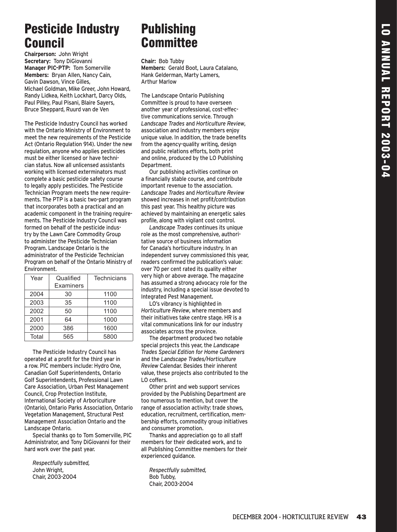## Pesticide Industry Council

**Chairperson:** John Wright **Secretary:** Tony DiGiovanni **Manager PIC-PTP:** Tom Somerville **Members:** Bryan Allen, Nancy Cain, Gavin Dawson, Vince Gilles, Michael Goldman, Mike Greer, John Howard, Randy Lidkea, Keith Lockhart, Darcy Olds, Paul Pilley, Paul Pisani, Blaire Sayers, Bruce Sheppard, Ruurd van de Ven

The Pesticide Industry Council has worked with the Ontario Ministry of Environment to meet the new requirements of the Pesticide Act (Ontario Regulation 914). Under the new regulation, anyone who applies pesticides must be either licensed or have technician status. Now all unlicensed assistants working with licensed exterminators must complete a basic pesticide safety course to legally apply pesticides. The Pesticide Technician Program meets the new requirements. The PTP is a basic two-part program that incorporates both a practical and an academic component in the training requirements. The Pesticide Industry Council was formed on behalf of the pesticide industry by the Lawn Care Commodity Group to administer the Pesticide Technician Program. Landscape Ontario is the administrator of the Pesticide Technician Program on behalf of the Ontario Ministry of Environment.

| Year  | Qualified<br>Examiners | <b>Technicians</b> |
|-------|------------------------|--------------------|
| 2004  | 30                     | 1100               |
| 2003  | 35                     | 1100               |
| 2002  | 50                     | 1100               |
| 2001  | 64                     | 1000               |
| 2000  | 386                    | 1600               |
| Total | 565                    | 5800               |

The Pesticide Industry Council has operated at a profit for the third year in a row. PIC members include: Hydro One, Canadian Golf Superintendents, Ontario Golf Superintendents, Professional Lawn Care Association, Urban Pest Management Council, Crop Protection Institute, International Society of Arboriculture (Ontario), Ontario Parks Association, Ontario Vegetation Management, Structural Pest Management Association Ontario and the Landscape Ontario.

Special thanks go to Tom Somerville, PIC Administrator, and Tony DiGiovanni for their hard work over the past year.

*Respectfully submitted,*  John Wright, Chair, 2003-2004

## **Publishing Committee**

**Chair:** Bob Tubby **Members:** Gerald Boot, Laura Catalano, Hank Gelderman, Marty Lamers, Arthur Marlow

The Landscape Ontario Publishing Committee is proud to have overseen another year of professional, cost-effective communications service. Through *Landscape Trades* and *Horticulture Review*, association and industry members enjoy unique value. In addition, the trade benefits from the agency-quality writing, design and public relations efforts, both print and online, produced by the LO Publishing Department.

Our publishing activities continue on a financially stable course, and contribute important revenue to the association. *Landscape Trades* and *Horticulture Review* showed increases in net profit/contribution this past year. This healthy picture was achieved by maintaining an energetic sales profile, along with vigilant cost control.

*Landscape Trades* continues its unique role as the most comprehensive, authoritative source of business information for Canada's horticulture industry. In an independent survey commissioned this year, readers confirmed the publication's value: over 70 per cent rated its quality either very high or above average. The magazine has assumed a strong advocacy role for the industry, including a special issue devoted to Integrated Pest Management.

LO's vibrancy is highlighted in *Horticulture Review*, where members and their initiatives take centre stage. HR is a vital communications link for our industry associates across the province.

The department produced two notable special projects this year, the *Landscape Trades Special Edition for Home Gardeners* and the *Landscape Trades/Horticulture Review* Calendar. Besides their inherent value, these projects also contributed to the LO coffers.

Other print and web support services provided by the Publishing Department are too numerous to mention, but cover the range of association activity: trade shows, education, recruitment, certification, membership efforts, commodity group initiatives and consumer promotion.

Thanks and appreciation go to all staff members for their dedicated work, and to all Publishing Committee members for their experienced guidance.

*Respectfully submitted,* Bob Tubby, Chair, 2003-2004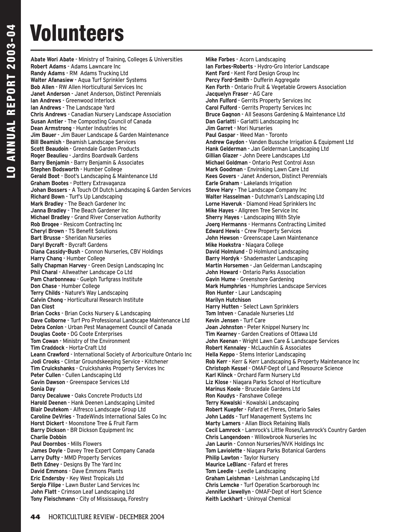## Volunteers

**Abate Wori Abate** - Ministry of Training, Colleges & Universities **Robert Adams** - Adams Lawncare Inc **Randy Adams** - RM Adams Trucking Ltd **Walter Afanasiew** - Aqua Turf Sprinkler Systems **Bob Allen** - RW Allen Horticultural Services Inc **Janet Anderson** - Janet Anderson, Distinct Perennials **Ian Andrews** - Greenwood Interlock **Ian Andrews** - The Landscape Yard **Chris Andrews** - Canadian Nursery Landscape Association **Susan Antler** - The Composting Council of Canada **Dean Armstrong** - Hunter Industries Inc **Jim Bauer** - Jim Bauer Landscape & Garden Maintenance **Bill Beamish** - Beamish Landscape Services **Scott Beaudoin** - Greendale Garden Products **Roger Beaulieu** - Jardins Boardwalk Gardens **Barry Benjamin** - Barry Benjamin & Associates **Stephen Bodsworth** - Humber College **Gerald Boot** - Boot's Landscaping & Maintenance Ltd **Graham Bootes** - Pottery Extravaganza **Johan Bossers** - A Touch Of Dutch Landscaping & Garden Services **Richard Bown** - Turf's Up Landscaping **Mark Bradley** - The Beach Gardener Inc **Janna Bradley** - The Beach Gardener Inc **Michael Bradley** - Grand River Conservation Authority **Rob Brogee** - Resicom Contracting Inc **Cheryl Brown** - TS Benefit Solutions **Bart Brusse** - Sheridan Nurseries **Daryl Bycraft** - Bycraft Gardens **Diana Cassidy-Bush** - Connon Nurseries, CBV Holdings **Harry Chang** - Humber College **Sally Chapman Harvey** - Green Design Landscaping Inc **Phil Charal** - Allweather Landscape Co Ltd **Pam Charbonneau** - Guelph Turfgrass Institute **Don Chase** - Humber College **Terry Childs** - Nature's Way Landscaping **Calvin Chong** - Horticultural Research Institute **Dan Clost Brian Cocks** - Brian Cocks Nursery & Landscaping **Dave Colborne** - Turf Pro Professional Landscape Maintenance Ltd **Debra Conlon** - Urban Pest Management Council of Canada **Douglas Coote** - DG Coote Enterprises **Tom Cowan** - Ministry of the Environment **Tim Craddock** - Horta-Craft Ltd **Leann Crawford** - International Society of Arboriculture Ontario Inc **Jodi Crooks** - Clintar Groundskeeping Service - Kitchener **Tim Cruickshanks** - Cruickshanks Property Services Inc **Peter Cullen** - Cullen Landscaping Ltd **Gavin Dawson** - Greenspace Services Ltd **Sonia Day Darcy Decaluwe** - Oaks Concrete Products Ltd **Harold Deenen** - Hank Deenen Landscaping Limited **Blair Deutekom** - Alfresco Landscape Group Ltd **Caroline DeVries** - TradeWinds International Sales Co Inc **Horst Dickert** - Moonstone Tree & Fruit Farm **Barry Dickson** - BR Dickson Equipment Inc **Charlie Dobbin Paul Doornbos** - Mills Flowers **James Doyle** - Davey Tree Expert Company Canada **Larry Dufty** - MMD Property Services **Beth Edney** - Designs By The Yard Inc **David Emmons** - Dave Emmons Plants **Eric Endersby** - Key West Tropicals Ltd **Sergio Filipe** - Lawn Buster Land Services Inc **John Flatt** - Crimson Leaf Landscaping Ltd **Tony Fleischmann** - City of Mississauga, Forestry

**Mike Forbes** - Acorn Landscaping **Ian Forbes-Roberts** - Hydro-Gro Interior Landscape **Kent Ford** - Kent Ford Design Group Inc **Percy Ford-Smith** - Dufferin Aggregate **Ken Forth** - Ontario Fruit & Vegetable Growers Association **Jacquelyn Fraser** - AG Care **John Fulford** - Gerrits Property Services Inc **Carol Fulford** - Gerrits Property Services Inc **Bruce Gagnon** - All Seasons Gardening & Maintenance Ltd **Dan Garlatti** - Garlatti Landscaping Inc **Jim Garret** - Mori Nurseries **Paul Gaspar** - Weed Man - Toronto **Andrew Gaydon** - Vanden Bussche Irrigation & Equipment Ltd **Hank Gelderman** - Jan Gelderman Landscaping Ltd **Gillian Glazer** - John Deere Landscapes Ltd **Michael Goldman** - Ontario Pest Control Assn **Mark Goodman** - Enviroking Lawn Care Ltd **Kees Govers** - Janet Anderson, Distinct Perennials **Earle Graham** - Lakelands Irrigation **Steve Hary** - The Landscape Company Inc **Walter Hasselman** - Dutchman's Landscaping Ltd **Lorne Haveruk** - Diamond Head Sprinklers Inc **Mike Hayes** - Allgreen Tree Service Inc **Sherry Hayes** - Landscaping With Style **Joerg Hermanns** - Hermanns Contracting Limited **Edward Hewis** - Crew Property Services **John Hewson** - Greenscape Lawn Maintenance **Mike Hoekstra** - Niagara College **David Holmlund** - D Holmlund Landscaping **Barry Hordyk** - Shademaster Landscaping **Martin Horsemen** - Jan Gelderman Landscaping **John Howard** - Ontario Parks Association **Gavin Hume** - Greenshore Gardening **Mark Humphries** - Humphries Landscape Services **Ron Hunter** - Laur Landscaping **Marilyn Hutchison Harry Hutten** - Select Lawn Sprinklers **Tom Intven** - Canadale Nurseries Ltd **Kevin Jensen** - Turf Care **Joan Johnston** - Peter Knippel Nursery Inc **Tim Kearney** - Garden Creations of Ottawa Ltd **John Keenan** - Wright Lawn Care & Landscape Services **Robert Kennaley** - McLauchlin & Associates **Hella Keppo** - Stems Interior Landscaping **Rob Kerr** - Kerr & Kerr Landscaping & Property Maintenance Inc **Christoph Kessel** - OMAF-Dept of Land Resource Science **Karl Klinck** - Orchard Farm Nursery Ltd **Liz Klose** - Niagara Parks School of Horticulture **Marinus Koole** - Brucedale Gardens Ltd **Ron Koudys** - Fanshawe College **Terry Kowalski** - Kowalski Landscaping **Robert Kuepfer** - Fafard et Freres, Ontario Sales **John Ladds** - Turf Management Systems Inc **Marty Lamers** - Allan Block Retaining Walls **Cecil Lamrock** - Lamrock's Little Roses/Lamrock's Country Garden **Chris Langendoen** - Willowbrook Nurseries Inc **Jan Laurin** - Connon Nurseries/NVK Holdings Inc **Tom Laviolette** - Niagara Parks Botanical Gardens **Philip Lawton** - Taylor Nursery **Maurice LeBlanc** - Fafard et freres **Tom Leedle** - Leedle Landscaping **Graham Leishman** - Leishman Landscaping Ltd **Chris Lemcke** - Turf Operation Scarborough Inc **Jennifer Llewellyn** - OMAF-Dept of Hort Science **Keith Lockhart** - Uniroyal Chemical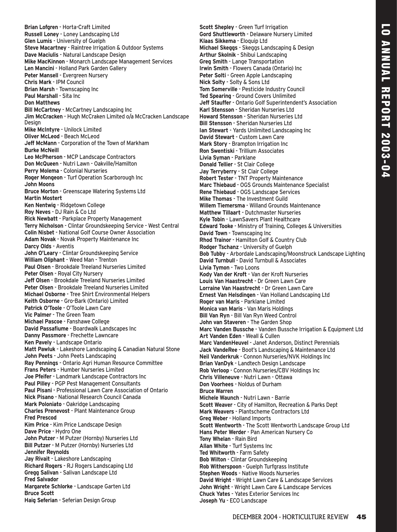**Brian Lofgren** - Horta-Craft Limited **Russell Loney** - Loney Landscaping Ltd **Glen Lumis** - University of Guelph **Steve Macartney** - Raintree Irrigation & Outdoor Systems **Dave Maciulis** - Natural Landscape Design **Mike MacKinnon** - Monarch Landscape Management Services **Len Mancini** - Holland Park Garden Gallery **Peter Mansell** - Evergreen Nursery **Chris Mark** - IPM Council **Brian Marsh** - Townscaping Inc **Paul Marshall** - Sita Inc **Don Matthews Bill McCartney** - McCartney Landscaping Inc **Jim McCracken** - Hugh McCraken Limited o/a McCracken Landscape Design **Mike McIntyre** - Unilock Limited **Oliver McLeod** - Beach McLeod **Jeff McMann** - Corporation of the Town of Markham **Burke McNeill Leo McPherson** - MCP Landscape Contractors **Don McQueen** - Nutri Lawn - Oakville/Hamilton **Perry Molema** - Colonial Nurseries **Roger Mongeon** - Turf Operation Scarborough Inc **John Moons Bruce Morton** - Greenscape Watering Systems Ltd **Martin Mostert Ken Nentwig** - Ridgetown College **Roy Neves** - DJ Rain & Co Ltd **Rick Newbatt** - Parkplace Property Management **Terry Nicholson** - Clintar Groundskeeping Service - West Central **Colin Nisbet** - National Golf Course Owner Association **Adam Novak** - Novak Property Maintenance Inc **Darcy Olds** - Aventis **John O'Leary** - Clintar Groundskeeping Service **William Oliphant** - Weed Man - Trenton **Paul Olsen** - Brookdale Treeland Nurseries Limited **Peter Olsen** - Royal City Nursery **Jeff Olsen** - Brookdale Treeland Nurseries Limited **Peter Olsen** - Brookdale Treeland Nurseries Limited **Michael Osborne** - Tree Shirt Environmental Helpers **Keith Osborne** - Gro-Bark (Ontario) Limited **Patrick O'Toole** - O'Toole Lawn Care **Vic Palmer** - The Green Team **Michael Pascoe** - Fanshawe College **David Passafiume** - Boardwalk Landscapes Inc **Danny Passmore** - Frechette Lawncare **Ken Pavely** - Landscape Ontario **Matt Pawluk** - Lakeshore Landscaping & Canadian Natural Stone **John Peets** - John Peets Landscaping **Ray Pennings** - Ontario Agri Human Resource Committee **Frans Peters** - Humber Nurseries Limited **Joe Pfeifer** - Landmark Landscape Contractors Inc **Paul Pilley** - PGP Pest Management Consultants **Paul Pisani** - Professional Lawn Care Association of Ontario **Nick Pisano** - National Research Council Canada **Mark Poloniato** - Oakridge Landscaping **Charles Prenevost** - Plant Maintenance Group **Fred Prescod Kim Price** - Kim Price Landscape Design **Dave Price** - Hydro One **John Putzer** - M Putzer (Hornby) Nurseries Ltd **Bill Putzer** - M Putzer (Hornby) Nurseries Ltd **Jennifer Reynolds Jay Rivait** - Lakeshore Landscaping **Richard Rogers** - RJ Rogers Landscaping Ltd **Gregg Salivan** - Salivan Landscape Ltd **Fred Salvador Margarete Schlorke** - Landscape Garten Ltd **Bruce Scott Haig Seferian** - Seferian Design Group

**Scott Shepley** - Green Turf Irrigation **Gord Shuttleworth** - Delaware Nursery Limited **Klaas Sikkema** - Eloquip Ltd **Michael Skeggs** - Skeggs Landscaping & Design **Arthur Skolnik** - Shibui Landscaping **Greg Smith** - Lange Transportation **Irwin Smith** - Flowers Canada (Ontario) Inc **Peter Solti** - Green Apple Landscaping **Nick Solty** - Solty & Sons Ltd **Tom Somerville** - Pesticide Industry Council **Ted Spearing** - Ground Covers Unlimited **Jeff Stauffer** - Ontario Golf Superintendent's Association **Karl Stensson** - Sheridan Nurseries Ltd **Howard Stensson** - Sheridan Nurseries Ltd **Bill Stensson** - Sheridan Nurseries Ltd **Ian Stewart** - Yards Unlimited Landscaping Inc **David Stewart** - Custom Lawn Care **Mark Story** - Brampton Irrigation Inc **Ron Swentiski** - Trillium Associates **Livia Syman** - Parklane **Donald Tellier** - St Clair College **Jay Terryberry** - St Clair College **Robert Tester** - TNT Property Maintenance **Marc Thiebaud** - OGS Grounds Maintenance Specialist **Rene Thiebaud** - OGS Landscape Services **Mike Thomas** - The Investment Guild **Willem Tiemersma** - Willand Grounds Maintenance **Matthew Tillaart** - Dutchmaster Nurseries **Kyle Tobin** - LawnSavers Plant Healthcare **Edward Tooke** - Ministry of Training, Colleges & Universities **David Town** - Townscaping Inc **Rhod Trainor** - Hamilton Golf & Country Club **Rodger Tschanz** - University of Guelph **Bob Tubby** - Arbordale Landscaping/Moonstruck Landscape Lighting **David Turnbull** - David Turnbull & Associates **Livia Tymon** - Two Loons **Kody Van der Kroft** - Van der Kroft Nurseries **Louis Van Haastrecht** - Dr Green Lawn Care **Lorraine Van Haastrecht** - Dr Green Lawn Care **Ernest Van Helsdingen** - Van Holland Landscaping Ltd **Roger van Maris** - Parklane Limited **Monica van Maris** - Van Maris Holdings **Bill Van Ryn** - Bill Van Ryn Weed Control **John van Staveren** - The Garden Shop **Marc Vanden Bussche** - Vanden Bussche Irrigation & Equipment Ltd **Art Vanden Eden** - Weall & Cullen **Marc VandenHeuvel** - Janet Anderson, Distinct Perennials **Jack VandeRee** - Boot's Landscaping & Maintenance Ltd **Neil Vanderkruk** - Connon Nurseries/NVK Holdings Inc **Brian VanDyk** - Landtech Design Landscape **Rob Verloop** - Connon Nurseries/CBV Holdings Inc **Chris Villeneuve** - Nutri Lawn - Ottawa **Don Voorhees** - Noldus of Durham **Bruce Warren Michele Waunch** - Nutri Lawn - Barrie **Scott Weaver** - City of Hamilton, Recreation & Parks Dept **Mark Weavers** - Plantscheme Contractors Ltd **Greg Weber** - Holland Imports **Scott Wentworth** - The Scott Wentworth Landscape Group Ltd **Hans Peter Werder** - Pan American Nursery Co **Tony Whelan** - Rain Bird **Allan White** - Turf Systems Inc **Ted Whitworth** - Farm Safety **Bob Wilton** - Clintar Groundskeeping **Rob Witherspoon** - Guelph Turfgrass Institute **Stephen Woods** - Native Woods Nurseries **David Wright** - Wright Lawn Care & Landscape Services **John Wright** - Wright Lawn Care & Landscape Services **Chuck Yates** - Yates Exterior Services Inc **Joseph Yu** - ECO Landscape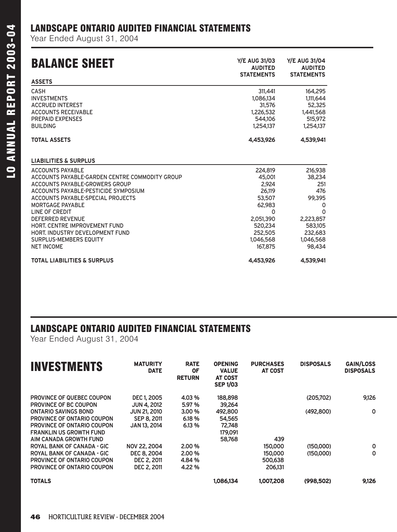Year Ended August 31, 2004

| <b>BALANCE SHEET</b><br><b>ASSETS</b>                                                                                                                                                                                                                                                                                                                                               | <b>Y/E AUG 31/03</b><br><b>AUDITED</b><br><b>STATEMENTS</b>                                                              | <b>Y/E AUG 31/04</b><br><b>AUDITED</b><br><b>STATEMENTS</b>                                                          |
|-------------------------------------------------------------------------------------------------------------------------------------------------------------------------------------------------------------------------------------------------------------------------------------------------------------------------------------------------------------------------------------|--------------------------------------------------------------------------------------------------------------------------|----------------------------------------------------------------------------------------------------------------------|
| <b>CASH</b><br><b>INVESTMENTS</b><br><b>ACCRUED INTEREST</b><br><b>ACCOUNTS RECEIVABLE</b><br><b>PREPAID EXPENSES</b><br><b>BUILDING</b>                                                                                                                                                                                                                                            | 311.441<br>1,086,134<br>31,576<br>1,226,532<br>544,106<br>1.254.137                                                      | 164,295<br>1,111,644<br>52,325<br>1,441,568<br>515,972<br>1.254.137                                                  |
| <b>TOTAL ASSETS</b>                                                                                                                                                                                                                                                                                                                                                                 | 4,453,926                                                                                                                | 4,539,941                                                                                                            |
| <b>LIABILITIES &amp; SURPLUS</b>                                                                                                                                                                                                                                                                                                                                                    |                                                                                                                          |                                                                                                                      |
| <b>ACCOUNTS PAYABLE</b><br>ACCOUNTS PAYABLE-GARDEN CENTRE COMMODITY GROUP<br>ACCOUNTS PAYABLE-GROWERS GROUP<br>ACCOUNTS PAYABLE-PESTICIDE SYMPOSIUM<br>ACCOUNTS PAYABLE-SPECIAL PROJECTS<br>MORTGAGE PAYABLE<br>LINE OF CREDIT<br><b>DEFERRED REVENUE</b><br>HORT, CENTRE IMPROVEMENT FUND<br>HORT. INDUSTRY DEVELOPMENT FUND<br><b>SURPLUS-MEMBERS EQUITY</b><br><b>NET INCOME</b> | 224,819<br>45,001<br>2.924<br>26.119<br>53,507<br>62.983<br>0<br>2,051,390<br>520,234<br>252,505<br>1.046.568<br>167,875 | 216,938<br>38,234<br>251<br>476<br>99,395<br>0<br>$\Omega$<br>2,223,857<br>583.105<br>232,683<br>1,046,568<br>98,434 |
| <b>TOTAL LIABILITIES &amp; SURPLUS</b>                                                                                                                                                                                                                                                                                                                                              | 4,453,926                                                                                                                | 4,539,941                                                                                                            |

#### LANDSCAPE ONTARIO AUDITED FINANCIAL STATEMENTS

Year Ended August 31, 2004

| <b>INVESTMENTS</b>                | <b>MATURITY</b><br><b>DATE</b> | <b>RATE</b><br><b>OF</b><br><b>RETURN</b> | <b>OPENING</b><br><b>VALUE</b><br><b>AT COST</b><br><b>SEP 1/03</b> | <b>PURCHASES</b><br><b>AT COST</b> | <b>DISPOSALS</b> | <b>GAIN/LOSS</b><br><b>DISPOSALS</b> |
|-----------------------------------|--------------------------------|-------------------------------------------|---------------------------------------------------------------------|------------------------------------|------------------|--------------------------------------|
| <b>PROVINCE OF QUEBEC COUPON</b>  | <b>DEC 1, 2005</b>             | 4.03%                                     | 188,898                                                             |                                    | (205,702)        | 9,126                                |
| <b>PROVINCE OF BC COUPON</b>      | <b>JUN 4, 2012</b>             | 5.97 %                                    | 39,264                                                              |                                    |                  |                                      |
| <b>ONTARIO SAVINGS BOND</b>       | <b>JUN 21, 2010</b>            | 3.00%                                     | 492,800                                                             |                                    | (492,800)        | 0                                    |
| <b>PROVINCE OF ONTARIO COUPON</b> | SEP 8, 2011                    | 6.18 %                                    | 54,565                                                              |                                    |                  |                                      |
| <b>PROVINCE OF ONTARIO COUPON</b> | JAN 13, 2014                   | 6.13%                                     | 72,748                                                              |                                    |                  |                                      |
| <b>FRANKLIN US GROWTH FUND</b>    |                                |                                           | 179,091                                                             |                                    |                  |                                      |
| AIM CANADA GROWTH FUND            |                                |                                           | 58,768                                                              | 439                                |                  |                                      |
| <b>ROYAL BANK OF CANADA - GIC</b> | NOV 22, 2004                   | 2.00 %                                    |                                                                     | 150,000                            | (150,000)        | 0                                    |
| <b>ROYAL BANK OF CANADA - GIC</b> | DEC 8, 2004                    | 2.00 %                                    |                                                                     | 150,000                            | (150,000)        | O                                    |
| <b>PROVINCE OF ONTARIO COUPON</b> | <b>DEC 2, 2011</b>             | 4.84 %                                    |                                                                     | 500,638                            |                  |                                      |
| <b>PROVINCE OF ONTARIO COUPON</b> | <b>DEC 2, 2011</b>             | 4.22 %                                    |                                                                     | 206,131                            |                  |                                      |
| <b>TOTALS</b>                     |                                |                                           | 1,086,134                                                           | 1,007,208                          | (998, 502)       | 9,126                                |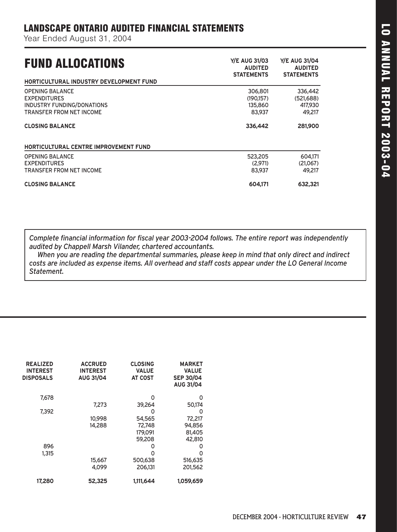Year Ended August 31, 2004

| <b>FUND ALLOCATIONS</b><br>HORTICULTURAL INDUSTRY DEVELOPMENT FUND                                                    | <b>Y/E AUG 31/03</b><br><b>AUDITED</b><br><b>STATEMENTS</b> | <b>Y/E AUG 31/04</b><br><b>AUDITED</b><br><b>STATEMENTS</b> |
|-----------------------------------------------------------------------------------------------------------------------|-------------------------------------------------------------|-------------------------------------------------------------|
| <b>OPENING BALANCE</b><br><b>EXPENDITURES</b><br><b>INDUSTRY FUNDING/DONATIONS</b><br><b>TRANSFER FROM NET INCOME</b> | 306,801<br>(190,157)<br>135,860<br>83,937                   | 336,442<br>(521,688)<br>417,930<br>49.217                   |
| <b>CLOSING BALANCE</b>                                                                                                | 336,442                                                     | 281,900                                                     |
| HORTICULTURAL CENTRE IMPROVEMENT FUND                                                                                 |                                                             |                                                             |
| <b>OPENING BALANCE</b><br><b>EXPENDITURES</b><br><b>TRANSFER FROM NET INCOME</b>                                      | 523,205<br>(2,971)<br>83,937                                | 604,171<br>(21,067)<br>49.217                               |
| <b>CLOSING BALANCE</b>                                                                                                | 604.171                                                     | 632,321                                                     |

*Complete financial information for fiscal year 2003-2004 follows. The entire report was independently audited by Chappell Marsh Vilander, chartered accountants.* 

*When you are reading the departmental summaries, please keep in mind that only direct and indirect costs are included as expense items. All overhead and staff costs appear under the LO General Income Statement.*

| <b>MARKET</b><br><b>VALUE</b><br><b>SEP 30/04</b><br>AUG 31/04 | <b>CLOSING</b><br><b>VALUE</b><br><b>AT COST</b> | <b>ACCRUED</b><br><b>INTEREST</b><br>AUG 31/04 | <b>REALIZED</b><br><b>INTEREST</b><br><b>DISPOSALS</b> |
|----------------------------------------------------------------|--------------------------------------------------|------------------------------------------------|--------------------------------------------------------|
| 0                                                              | 0                                                |                                                | 7,678                                                  |
| 50,174                                                         | 39,264                                           | 7,273                                          |                                                        |
| $\circ$                                                        | C                                                |                                                | 7,392                                                  |
| 72,217                                                         | 54,565                                           | 10,998                                         |                                                        |
| 94,856                                                         | 72,748                                           | 14,288                                         |                                                        |
| 81,405                                                         | 179,091                                          |                                                |                                                        |
| 42,810                                                         | 59,208                                           |                                                |                                                        |
| 0                                                              | 0                                                |                                                | 896                                                    |
| 0                                                              | 0                                                |                                                | 1,315                                                  |
| 516,635                                                        | 500,638                                          | 15,667                                         |                                                        |
| 201,562                                                        | 206,131                                          | 4,099                                          |                                                        |
| 1,059,659                                                      | 1,111,644                                        | 52,325                                         | 17,280                                                 |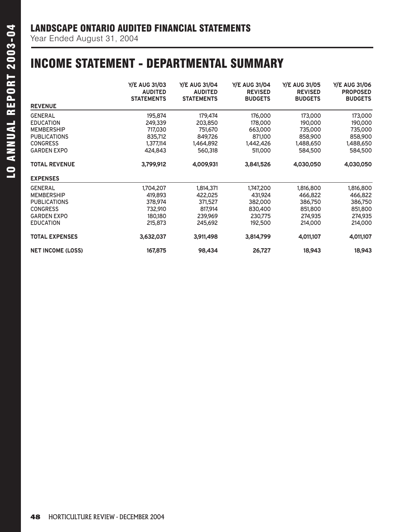Year Ended August 31, 2004

### INCOME STATEMENT - DEPARTMENTAL SUMMARY

|                          | <b>Y/E AUG 31/03</b><br><b>AUDITED</b><br><b>STATEMENTS</b> | <b>Y/E AUG 31/04</b><br><b>AUDITED</b><br><b>STATEMENTS</b> | <b>Y/E AUG 31/04</b><br><b>REVISED</b><br><b>BUDGETS</b> | <b>Y/E AUG 31/05</b><br><b>REVISED</b><br><b>BUDGETS</b> | <b>Y/E AUG 31/06</b><br><b>PROPOSED</b><br><b>BUDGETS</b> |
|--------------------------|-------------------------------------------------------------|-------------------------------------------------------------|----------------------------------------------------------|----------------------------------------------------------|-----------------------------------------------------------|
| <b>REVENUE</b>           |                                                             |                                                             |                                                          |                                                          |                                                           |
| <b>GENERAL</b>           | 195,874                                                     | 179,474                                                     | 176,000                                                  | 173,000                                                  | 173,000                                                   |
| <b>EDUCATION</b>         | 249,339                                                     | 203,850                                                     | 178,000                                                  | 190,000                                                  | 190,000                                                   |
| <b>MEMBERSHIP</b>        | 717,030                                                     | 751,670                                                     | 663,000                                                  | 735,000                                                  | 735,000                                                   |
| <b>PUBLICATIONS</b>      | 835,712                                                     | 849,726                                                     | 871,100                                                  | 858,900                                                  | 858,900                                                   |
| <b>CONGRESS</b>          | 1,377,114                                                   | 1,464,892                                                   | 1,442,426                                                | 1,488,650                                                | 1,488,650                                                 |
| <b>GARDEN EXPO</b>       | 424,843                                                     | 560,318                                                     | 511,000                                                  | 584,500                                                  | 584,500                                                   |
| <b>TOTAL REVENUE</b>     | 3,799,912                                                   | 4,009,931                                                   | 3,841,526                                                | 4,030,050                                                | 4,030,050                                                 |
| <b>EXPENSES</b>          |                                                             |                                                             |                                                          |                                                          |                                                           |
| <b>GENERAL</b>           | 1,704,207                                                   | 1,814,371                                                   | 1,747,200                                                | 1,816,800                                                | 1,816,800                                                 |
| <b>MEMBERSHIP</b>        | 419,893                                                     | 422,025                                                     | 431.924                                                  | 466,822                                                  | 466,822                                                   |
| <b>PUBLICATIONS</b>      | 378,974                                                     | 371,527                                                     | 382,000                                                  | 386,750                                                  | 386,750                                                   |
| <b>CONGRESS</b>          | 732,910                                                     | 817,914                                                     | 830,400                                                  | 851,800                                                  | 851,800                                                   |
| <b>GARDEN EXPO</b>       | 180,180                                                     | 239,969                                                     | 230.775                                                  | 274,935                                                  | 274,935                                                   |
| <b>EDUCATION</b>         | 215,873                                                     | 245,692                                                     | 192,500                                                  | 214,000                                                  | 214,000                                                   |
| <b>TOTAL EXPENSES</b>    | 3,632,037                                                   | 3,911,498                                                   | 3,814,799                                                | 4,011,107                                                | 4,011,107                                                 |
| <b>NET INCOME (LOSS)</b> | 167,875                                                     | 98,434                                                      | 26,727                                                   | 18,943                                                   | 18,943                                                    |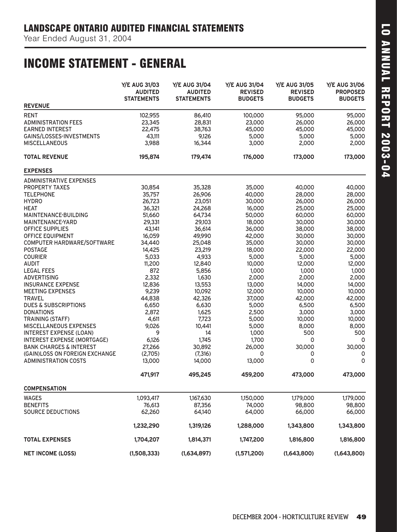### INCOME STATEMENT - GENERAL

|                                                                      | <b>Y/E AUG 31/03</b><br><b>AUDITED</b><br><b>STATEMENTS</b> | <b>Y/E AUG 31/04</b><br><b>AUDITED</b><br><b>STATEMENTS</b> | <b>Y/E AUG 31/04</b><br><b>REVISED</b><br><b>BUDGETS</b> | <b>Y/E AUG 31/05</b><br><b>REVISED</b><br><b>BUDGETS</b> | <b>Y/E AUG 31/06</b><br><b>PROPOSED</b><br><b>BUDGETS</b> |
|----------------------------------------------------------------------|-------------------------------------------------------------|-------------------------------------------------------------|----------------------------------------------------------|----------------------------------------------------------|-----------------------------------------------------------|
| <b>REVENUE</b>                                                       |                                                             |                                                             |                                                          |                                                          |                                                           |
| <b>RENT</b>                                                          | 102,955                                                     | 86,410                                                      | 100,000                                                  | 95,000                                                   | 95,000                                                    |
| <b>ADMINISTRATION FEES</b>                                           | 23,345                                                      | 28,831                                                      | 23,000                                                   | 26,000                                                   | 26,000                                                    |
| <b>EARNED INTEREST</b>                                               | 22,475                                                      | 38,763                                                      | 45,000                                                   | 45,000                                                   | 45,000                                                    |
| GAINS/LOSSES-INVESTMENTS                                             | 43,111                                                      | 9,126                                                       | 5,000                                                    | 5,000                                                    | 5,000                                                     |
| <b>MISCELLANEOUS</b>                                                 | 3,988                                                       | 16,344                                                      | 3,000                                                    | 2,000                                                    | 2,000                                                     |
| <b>TOTAL REVENUE</b>                                                 | 195,874                                                     | 179,474                                                     | 176,000                                                  | 173,000                                                  | 173,000                                                   |
| <b>EXPENSES</b>                                                      |                                                             |                                                             |                                                          |                                                          |                                                           |
| <b>ADMINISTRATIVE EXPENSES</b>                                       |                                                             |                                                             |                                                          |                                                          |                                                           |
| <b>PROPERTY TAXES</b>                                                | 30,854                                                      | 35,328                                                      | 35,000                                                   | 40,000                                                   | 40,000                                                    |
| <b>TELEPHONE</b>                                                     | 35,757                                                      | 26,906                                                      | 40,000                                                   | 28,000                                                   | 28,000                                                    |
| <b>HYDRO</b>                                                         | 26,723                                                      | 23,051                                                      | 30,000                                                   | 26,000                                                   | 26,000                                                    |
| <b>HEAT</b>                                                          | 36,321                                                      | 24,268                                                      | 16,000                                                   | 25,000                                                   | 25,000                                                    |
| MAINTENANCE-BUILDING                                                 | 51,660                                                      | 64,734                                                      | 50,000                                                   | 60,000                                                   | 60,000                                                    |
| MAINTENANCE-YARD                                                     | 29,331                                                      | 29,103                                                      | 18,000                                                   | 30,000                                                   | 30,000                                                    |
| OFFICE SUPPLIES                                                      | 43,141                                                      | 36,614                                                      | 36,000                                                   | 38,000                                                   | 38,000                                                    |
| <b>OFFICE EQUIPMENT</b>                                              | 16,059                                                      | 49,990                                                      | 42,000                                                   | 30,000                                                   | 30,000                                                    |
| <b>COMPUTER HARDWARE/SOFTWARE</b>                                    | 34,440                                                      | 25,048                                                      | 35,000                                                   | 30,000                                                   | 30,000                                                    |
| <b>POSTAGE</b>                                                       | 14,425                                                      | 23,219                                                      | 18,000                                                   | 22,000                                                   | 22,000                                                    |
| <b>COURIER</b>                                                       | 5,033                                                       | 4,933                                                       | 5,000                                                    | 5,000                                                    | 5,000                                                     |
| <b>AUDIT</b>                                                         | 11,200                                                      | 12,840                                                      | 10,000                                                   | 12,000                                                   | 12,000                                                    |
| <b>LEGAL FEES</b>                                                    | 872                                                         | 5,856                                                       | 1,000                                                    | 1,000                                                    | 1,000                                                     |
| <b>ADVERTISING</b>                                                   | 2,332                                                       | 1,630                                                       | 2,000                                                    | 2,000                                                    | 2,000                                                     |
| <b>INSURANCE EXPENSE</b>                                             | 12,836                                                      | 13,553                                                      | 13,000                                                   | 14,000                                                   | 14,000                                                    |
| <b>MEETING EXPENSES</b>                                              | 9,239                                                       | 10,092                                                      | 12,000                                                   | 10,000                                                   | 10,000                                                    |
| <b>TRAVEL</b>                                                        | 44,838                                                      | 42,326                                                      | 37,000                                                   | 42,000                                                   | 42,000                                                    |
| <b>DUES &amp; SUBSCRIPTIONS</b>                                      | 6,650                                                       | 6,630                                                       | 5,000                                                    | 6,500                                                    | 6,500                                                     |
| <b>DONATIONS</b>                                                     | 2,872                                                       | 1,625                                                       | 2,500                                                    | 3,000                                                    | 3,000                                                     |
| <b>TRAINING (STAFF)</b>                                              | 4,611                                                       | 7,723                                                       | 5,000                                                    | 10,000                                                   | 10,000                                                    |
| MISCELLANEOUS EXPENSES                                               | 9,026                                                       | 10,441                                                      | 5,000                                                    | 8,000                                                    | 8,000                                                     |
| <b>INTEREST EXPENSE (LOAN)</b>                                       | 9                                                           | 14                                                          | 1,000                                                    | 500                                                      | 500                                                       |
| INTEREST EXPENSE (MORTGAGE)                                          | 6,126                                                       | 1,745                                                       | 1,700                                                    | 0                                                        | 0                                                         |
| <b>BANK CHARGES &amp; INTEREST</b><br>(GAIN)LOSS ON FOREIGN EXCHANGE | 27,266<br>(2,705)                                           | 30,892                                                      | 26,000<br>0                                              | 30,000                                                   | 30,000                                                    |
| <b>ADMINISTRATION COSTS</b>                                          | 13,000                                                      | (7, 316)<br>14,000                                          | 13,000                                                   | 0<br>0                                                   | 0<br>0                                                    |
|                                                                      | 471,917                                                     | 495,245                                                     | 459,200                                                  | 473,000                                                  | 473,000                                                   |
| <b>COMPENSATION</b>                                                  |                                                             |                                                             |                                                          |                                                          |                                                           |
|                                                                      |                                                             |                                                             |                                                          |                                                          |                                                           |
| <b>WAGES</b>                                                         | 1,093,417                                                   | 1,167,630                                                   | 1,150,000                                                | 1,179,000                                                | 1,179,000                                                 |
| <b>BENEFITS</b><br><b>SOURCE DEDUCTIONS</b>                          | 76,613                                                      | 87,356                                                      | 74,000                                                   | 98,800                                                   | 98,800                                                    |
|                                                                      | 62,260                                                      | 64,140                                                      | 64,000                                                   | 66,000                                                   | 66,000                                                    |
|                                                                      | 1,232,290                                                   | 1,319,126                                                   | 1,288,000                                                | 1,343,800                                                | 1,343,800                                                 |
| <b>TOTAL EXPENSES</b>                                                | 1,704,207                                                   | 1,814,371                                                   | 1,747,200                                                | 1,816,800                                                | 1,816,800                                                 |
| <b>NET INCOME (LOSS)</b>                                             | (1,508,333)                                                 | (1,634,897)                                                 | (1,571,200)                                              | (1,643,800)                                              | (1,643,800)                                               |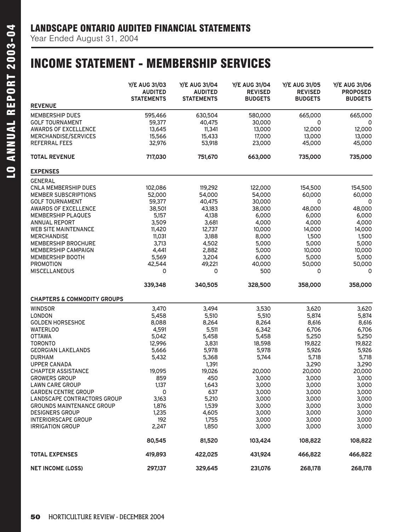Year Ended August 31, 2004

## INCOME STATEMENT - MEMBERSHIP SERVICES

|                                        | <b>Y/E AUG 31/03</b><br><b>AUDITED</b><br><b>STATEMENTS</b> | <b>Y/E AUG 31/04</b><br><b>AUDITED</b><br><b>STATEMENTS</b> | <b>Y/E AUG 31/04</b><br><b>REVISED</b><br><b>BUDGETS</b> | <b>Y/E AUG 31/05</b><br><b>REVISED</b><br><b>BUDGETS</b> | <b>Y/E AUG 31/06</b><br><b>PROPOSED</b><br><b>BUDGETS</b> |
|----------------------------------------|-------------------------------------------------------------|-------------------------------------------------------------|----------------------------------------------------------|----------------------------------------------------------|-----------------------------------------------------------|
| <b>REVENUE</b>                         |                                                             |                                                             |                                                          |                                                          |                                                           |
| <b>MEMBERSHIP DUES</b>                 | 595,466                                                     | 630,504                                                     | 580,000                                                  | 665,000                                                  | 665,000                                                   |
| <b>GOLF TOURNAMENT</b>                 | 59,377                                                      | 40,475                                                      | 30,000                                                   | 0                                                        | 0                                                         |
| <b>AWARDS OF EXCELLENCE</b>            | 13,645                                                      | 11,341                                                      | 13,000                                                   | 12,000                                                   | 12,000                                                    |
| MERCHANDISE/SERVICES                   | 15,566                                                      | 15,433                                                      | 17,000                                                   | 13,000                                                   | 13,000                                                    |
| <b>REFERRAL FEES</b>                   | 32,976                                                      | 53,918                                                      | 23,000                                                   | 45,000                                                   | 45,000                                                    |
| <b>TOTAL REVENUE</b>                   | 717,030                                                     | 751,670                                                     | 663,000                                                  | 735,000                                                  | 735,000                                                   |
| <b>EXPENSES</b>                        |                                                             |                                                             |                                                          |                                                          |                                                           |
| <b>GENERAL</b>                         |                                                             |                                                             |                                                          |                                                          |                                                           |
| <b>CNLA MEMBERSHIP DUES</b>            | 102,086                                                     | 119,292                                                     | 122,000                                                  | 154,500                                                  | 154,500                                                   |
| <b>MEMBER SUBSCRIPTIONS</b>            | 52,000                                                      | 54,000                                                      | 54,000                                                   | 60,000                                                   | 60,000                                                    |
| <b>GOLF TOURNAMENT</b>                 | 59,377                                                      | 40,475                                                      | 30,000                                                   | 0                                                        | 0                                                         |
| <b>AWARDS OF EXCELLENCE</b>            | 38,501                                                      | 43,183                                                      | 38,000                                                   | 48,000                                                   | 48,000                                                    |
| <b>MEMBERSHIP PLAQUES</b>              | 5,157                                                       | 4,138                                                       | 6,000                                                    | 6,000                                                    | 6,000                                                     |
| <b>ANNUAL REPORT</b>                   | 3,509                                                       | 3,681                                                       | 4,000                                                    | 4,000                                                    | 4,000                                                     |
| <b>WEB SITE MAINTENANCE</b>            | 11,420                                                      | 12,737                                                      | 10,000                                                   | 14,000                                                   | 14,000                                                    |
| <b>MERCHANDISE</b>                     | 11,031                                                      | 3,188                                                       | 8,000                                                    | 1,500                                                    | 1,500                                                     |
| <b>MEMBERSHIP BROCHURE</b>             | 3,713                                                       | 4,502                                                       | 5,000                                                    | 5,000                                                    | 5,000                                                     |
| <b>MEMBERSHIP CAMPAIGN</b>             | 4,441                                                       | 2,882                                                       | 5,000                                                    | 10,000                                                   | 10,000                                                    |
| <b>MEMBERSHIP BOOTH</b>                | 5,569                                                       | 3,204                                                       | 6,000                                                    | 5,000                                                    | 5,000                                                     |
| <b>PROMOTION</b>                       | 42,544                                                      | 49,221                                                      | 40,000                                                   | 50,000                                                   | 50,000                                                    |
| <b>MISCELLANEOUS</b>                   | 0                                                           | 0                                                           | 500                                                      | 0                                                        | 0                                                         |
|                                        | 339,348                                                     | 340,505                                                     | 328,500                                                  | 358,000                                                  | 358,000                                                   |
| <b>CHAPTERS &amp; COMMODITY GROUPS</b> |                                                             |                                                             |                                                          |                                                          |                                                           |
| <b>WINDSOR</b>                         | 3,470                                                       | 3,494                                                       | 3,530                                                    | 3,620                                                    | 3,620                                                     |
| <b>LONDON</b>                          | 5,458                                                       | 5,510                                                       | 5,510                                                    | 5,874                                                    | 5,874                                                     |
| <b>GOLDEN HORSESHOE</b>                | 8,088                                                       | 8,264                                                       | 8,264                                                    | 8,616                                                    | 8,616                                                     |
| <b>WATERLOO</b>                        | 4,591                                                       | 5,511                                                       | 6,342                                                    | 6,706                                                    | 6,706                                                     |
| <b>OTTAWA</b>                          | 5,042                                                       | 5,458                                                       | 5,458                                                    | 5,250                                                    | 5,250                                                     |
| <b>TORONTO</b>                         | 12,996                                                      | 3,831                                                       | 18,598                                                   | 19,822                                                   | 19,822                                                    |
| <b>GEORGIAN LAKELANDS</b>              | 5,666                                                       | 5,978                                                       | 5,978                                                    | 5,926                                                    | 5,926                                                     |
| <b>DURHAM</b>                          | 5,432                                                       | 5,368                                                       | 5,744                                                    | 5,718                                                    | 5,718                                                     |
| <b>UPPER CANADA</b>                    |                                                             | 1,391                                                       |                                                          | 3,290                                                    | 3,290                                                     |
| <b>CHAPTER ASSISTANCE</b>              | 19,095                                                      | 19,026                                                      | 20,000                                                   | 20,000                                                   | 20,000                                                    |
| <b>GROWERS GROUP</b>                   | 859                                                         | 450                                                         | 3,000                                                    | 3,000                                                    | 3,000                                                     |
| <b>LAWN CARE GROUP</b>                 | 1,137                                                       | 1,643                                                       | 3,000                                                    | 3,000                                                    | 3,000                                                     |
| <b>GARDEN CENTRE GROUP</b>             | 0                                                           | 637                                                         | 3,000                                                    | 3,000                                                    | 3,000                                                     |
| <b>LANDSCAPE CONTRACTORS GROUP</b>     | 3,163                                                       | 5,210                                                       | 3,000                                                    | 3,000                                                    | 3,000                                                     |
| <b>GROUNDS MAINTENANCE GROUP</b>       | 1,876                                                       | 1,539                                                       | 3,000                                                    | 3,000                                                    | 3,000                                                     |
| <b>DESIGNERS GROUP</b>                 | 1,235                                                       | 4,605                                                       | 3,000                                                    | 3,000                                                    | 3,000                                                     |
| <b>INTERIORSCAPE GROUP</b>             | 192                                                         | 1,755                                                       | 3,000                                                    | 3,000                                                    | 3,000                                                     |
| <b>IRRIGATION GROUP</b>                | 2,247                                                       | 1,850                                                       | 3,000                                                    | 3,000                                                    | 3,000                                                     |
|                                        | 80,545                                                      | 81,520                                                      | 103,424                                                  | 108,822                                                  | 108,822                                                   |
| <b>TOTAL EXPENSES</b>                  | 419,893                                                     | 422,025                                                     | 431,924                                                  | 466,822                                                  | 466,822                                                   |
| <b>NET INCOME (LOSS)</b>               | 297,137                                                     | 329,645                                                     | 231,076                                                  | 268,178                                                  | 268,178                                                   |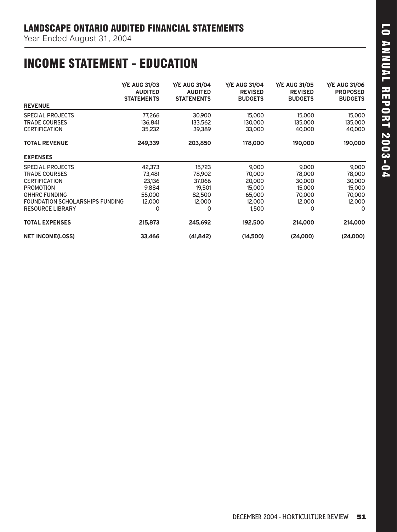## INCOME STATEMENT - EDUCATION

|                                 | <b>Y/E AUG 31/03</b><br><b>AUDITED</b><br><b>STATEMENTS</b> | <b>Y/E AUG 31/04</b><br><b>AUDITED</b><br><b>STATEMENTS</b> | <b>Y/E AUG 31/04</b><br><b>REVISED</b><br><b>BUDGETS</b> | <b>Y/E AUG 31/05</b><br><b>REVISED</b><br><b>BUDGETS</b> | <b>Y/E AUG 31/06</b><br><b>PROPOSED</b><br><b>BUDGETS</b> |
|---------------------------------|-------------------------------------------------------------|-------------------------------------------------------------|----------------------------------------------------------|----------------------------------------------------------|-----------------------------------------------------------|
| <b>REVENUE</b>                  |                                                             |                                                             |                                                          |                                                          |                                                           |
| <b>SPECIAL PROJECTS</b>         | 77,266                                                      | 30,900                                                      | 15,000                                                   | 15,000                                                   | 15,000                                                    |
| <b>TRADE COURSES</b>            | 136,841                                                     | 133,562                                                     | 130,000                                                  | 135,000                                                  | 135,000                                                   |
| <b>CERTIFICATION</b>            | 35,232                                                      | 39,389                                                      | 33,000                                                   | 40,000                                                   | 40,000                                                    |
| <b>TOTAL REVENUE</b>            | 249,339                                                     | 203,850                                                     | 178,000                                                  | 190,000                                                  | 190,000                                                   |
| <b>EXPENSES</b>                 |                                                             |                                                             |                                                          |                                                          |                                                           |
| SPECIAL PROJECTS                | 42,373                                                      | 15,723                                                      | 9,000                                                    | 9,000                                                    | 9,000                                                     |
| <b>TRADE COURSES</b>            | 73,481                                                      | 78,902                                                      | 70,000                                                   | 78,000                                                   | 78,000                                                    |
| <b>CERTIFICATION</b>            | 23,136                                                      | 37,066                                                      | 20,000                                                   | 30,000                                                   | 30,000                                                    |
| <b>PROMOTION</b>                | 9,884                                                       | 19,501                                                      | 15,000                                                   | 15,000                                                   | 15,000                                                    |
| <b>OHHRC FUNDING</b>            | 55,000                                                      | 82,500                                                      | 65,000                                                   | 70,000                                                   | 70,000                                                    |
| FOUNDATION SCHOLARSHIPS FUNDING | 12,000                                                      | 12,000                                                      | 12,000                                                   | 12,000                                                   | 12,000                                                    |
| <b>RESOURCE LIBRARY</b>         | 0                                                           | 0                                                           | 1,500                                                    | 0                                                        | 0                                                         |
| <b>TOTAL EXPENSES</b>           | 215,873                                                     | 245,692                                                     | 192,500                                                  | 214,000                                                  | 214,000                                                   |
| <b>NET INCOME(LOSS)</b>         | 33,466                                                      | (41, 842)                                                   | (14,500)                                                 | (24,000)                                                 | (24,000)                                                  |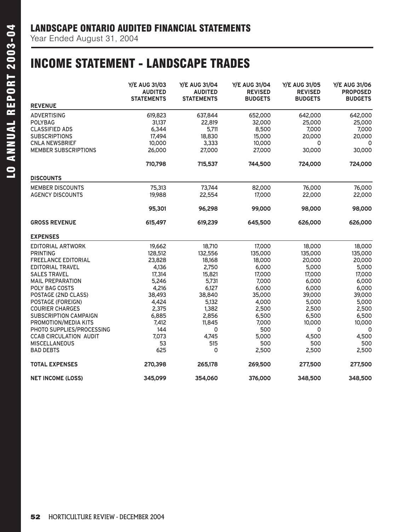Year Ended August 31, 2004

## INCOME STATEMENT - LANDSCAPE TRADES

| <b>REVENUE</b>                | <b>Y/E AUG 31/03</b><br><b>AUDITED</b><br><b>STATEMENTS</b> | <b>Y/E AUG 31/04</b><br><b>AUDITED</b><br><b>STATEMENTS</b> | <b>Y/E AUG 31/04</b><br><b>REVISED</b><br><b>BUDGETS</b> | <b>Y/E AUG 31/05</b><br><b>REVISED</b><br><b>BUDGETS</b> | <b>Y/E AUG 31/06</b><br><b>PROPOSED</b><br><b>BUDGETS</b> |
|-------------------------------|-------------------------------------------------------------|-------------------------------------------------------------|----------------------------------------------------------|----------------------------------------------------------|-----------------------------------------------------------|
| <b>ADVERTISING</b>            | 619,823                                                     | 637,844                                                     | 652,000                                                  | 642,000                                                  | 642,000                                                   |
| <b>POLYBAG</b>                | 31,137                                                      | 22,819                                                      | 32,000                                                   | 25,000                                                   | 25,000                                                    |
| <b>CLASSIFIED ADS</b>         | 6,344                                                       | 5,711                                                       | 8,500                                                    | 7,000                                                    | 7,000                                                     |
| <b>SUBSCRIPTIONS</b>          | 17,494                                                      | 18,830                                                      | 15,000                                                   | 20,000                                                   | 20,000                                                    |
| <b>CNLA NEWSBRIEF</b>         | 10,000                                                      | 3,333                                                       | 10,000                                                   | 0                                                        | 0                                                         |
| <b>MEMBER SUBSCRIPTIONS</b>   | 26,000                                                      | 27,000                                                      | 27,000                                                   | 30,000                                                   | 30,000                                                    |
|                               | 710,798                                                     | 715,537                                                     | 744,500                                                  | 724,000                                                  | 724,000                                                   |
| <b>DISCOUNTS</b>              |                                                             |                                                             |                                                          |                                                          |                                                           |
| <b>MEMBER DISCOUNTS</b>       | 75,313                                                      | 73,744                                                      | 82,000                                                   | 76,000                                                   | 76,000                                                    |
| <b>AGENCY DISCOUNTS</b>       | 19,988                                                      | 22,554                                                      | 17,000                                                   | 22,000                                                   | 22,000                                                    |
|                               | 95,301                                                      | 96,298                                                      | 99,000                                                   | 98,000                                                   | 98,000                                                    |
| <b>GROSS REVENUE</b>          | 615,497                                                     | 619,239                                                     | 645,500                                                  | 626,000                                                  | 626,000                                                   |
| <b>EXPENSES</b>               |                                                             |                                                             |                                                          |                                                          |                                                           |
| <b>EDITORIAL ARTWORK</b>      | 19,662                                                      | 18,710                                                      | 17,000                                                   | 18,000                                                   | 18,000                                                    |
| <b>PRINTING</b>               | 128,512                                                     | 132,556                                                     | 135,000                                                  | 135,000                                                  | 135,000                                                   |
| <b>FREELANCE EDITORIAL</b>    | 23,828                                                      | 18,168                                                      | 18,000                                                   | 20,000                                                   | 20,000                                                    |
| <b>EDITORIAL TRAVEL</b>       | 4,136                                                       | 2,750                                                       | 6,000                                                    | 5,000                                                    | 5,000                                                     |
| <b>SALES TRAVEL</b>           | 17,314                                                      | 15,821                                                      | 17,000                                                   | 17,000                                                   | 17,000                                                    |
| <b>MAIL PREPARATION</b>       | 5,246                                                       | 5,731                                                       | 7,000                                                    | 6,000                                                    | 6,000                                                     |
| <b>POLY BAG COSTS</b>         | 4,216                                                       | 6,127                                                       | 6,000                                                    | 6,000                                                    | 6,000                                                     |
| POSTAGE (2ND CLASS)           | 38,493                                                      | 38,840                                                      | 35,000                                                   | 39,000                                                   | 39,000                                                    |
| POSTAGE (FOREIGN)             | 4,424                                                       | 5,132                                                       | 4,000                                                    | 5,000                                                    | 5,000                                                     |
| <b>COURIER CHARGES</b>        | 2,375                                                       | 1,382                                                       | 2,500                                                    | 2,500                                                    | 2,500                                                     |
| SUBSCRIPTION CAMPAIGN         | 6,885                                                       | 2,856                                                       | 6,500                                                    | 6,500                                                    | 6,500                                                     |
| PROMOTION/MEDIA KITS          | 7,412                                                       | 11,845                                                      | 7,000                                                    | 10,000                                                   | 10,000                                                    |
| PHOTO SUPPLIES/PROCESSING     | 144                                                         | 0                                                           | 500                                                      | 0                                                        | 0                                                         |
| <b>CCAB CIRCULATION AUDIT</b> | 7,073                                                       | 4,745                                                       | 5,000                                                    | 4,500                                                    | 4,500                                                     |
| <b>MISCELLANEOUS</b>          | 53                                                          | 515                                                         | 500                                                      | 500                                                      | 500                                                       |
| <b>BAD DEBTS</b>              | 625                                                         | 0                                                           | 2,500                                                    | 2,500                                                    | 2,500                                                     |
| <b>TOTAL EXPENSES</b>         | 270,398                                                     | 265,178                                                     | 269,500                                                  | 277,500                                                  | 277,500                                                   |
| <b>NET INCOME (LOSS)</b>      | 345,099                                                     | 354,060                                                     | 376,000                                                  | 348,500                                                  | 348,500                                                   |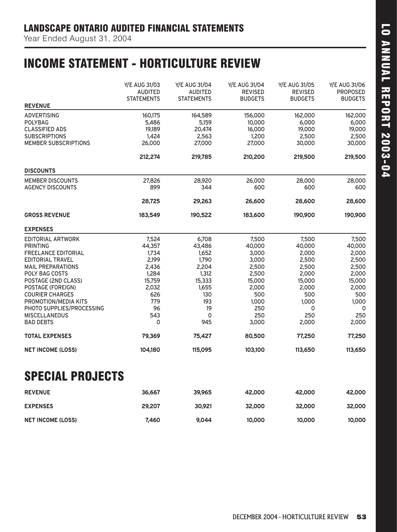## INCOME STATEMENT - HORTICULTURE REVIEW

|                                                                                                                                                                                                                                                                                                                                                                  | <b>Y/E AUG 31/03</b><br><b>AUDITED</b>                                                                           | Y/E AUG 31/04<br><b>AUDITED</b>                                                                                  | Y/E AUG 31/04<br><b>REVISED</b>                                                                                         | Y/E AUG 31/05<br><b>REVISED</b>                                                                                       | Y/E AUG 31/06<br><b>PROPOSED</b>                                                                                      |
|------------------------------------------------------------------------------------------------------------------------------------------------------------------------------------------------------------------------------------------------------------------------------------------------------------------------------------------------------------------|------------------------------------------------------------------------------------------------------------------|------------------------------------------------------------------------------------------------------------------|-------------------------------------------------------------------------------------------------------------------------|-----------------------------------------------------------------------------------------------------------------------|-----------------------------------------------------------------------------------------------------------------------|
| <b>REVENUE</b>                                                                                                                                                                                                                                                                                                                                                   | <b>STATEMENTS</b>                                                                                                | <b>STATEMENTS</b>                                                                                                | <b>BUDGETS</b>                                                                                                          | <b>BUDGETS</b>                                                                                                        | <b>BUDGETS</b>                                                                                                        |
| <b>ADVERTISING</b><br><b>POLYBAG</b><br><b>CLASSIFIED ADS</b>                                                                                                                                                                                                                                                                                                    | 160,175<br>5,486<br>19,189                                                                                       | 164,589<br>5,159<br>20,474                                                                                       | 156,000<br>10,000<br>16,000                                                                                             | 162,000<br>6,000<br>19,000                                                                                            | 162,000<br>6,000<br>19,000                                                                                            |
| <b>SUBSCRIPTIONS</b><br><b>MEMBER SUBSCRIPTIONS</b>                                                                                                                                                                                                                                                                                                              | 1,424<br>26,000                                                                                                  | 2,563<br>27,000                                                                                                  | 1,200<br>27,000                                                                                                         | 2,500<br>30,000                                                                                                       | 2,500<br>30,000                                                                                                       |
|                                                                                                                                                                                                                                                                                                                                                                  | 212,274                                                                                                          | 219,785                                                                                                          | 210,200                                                                                                                 | 219,500                                                                                                               | 219,500                                                                                                               |
| <b>DISCOUNTS</b>                                                                                                                                                                                                                                                                                                                                                 |                                                                                                                  |                                                                                                                  |                                                                                                                         |                                                                                                                       |                                                                                                                       |
| <b>MEMBER DISCOUNTS</b><br><b>AGENCY DISCOUNTS</b>                                                                                                                                                                                                                                                                                                               | 27,826<br>899                                                                                                    | 28,920<br>344                                                                                                    | 26,000<br>600                                                                                                           | 28,000<br>600                                                                                                         | 28,000<br>600                                                                                                         |
|                                                                                                                                                                                                                                                                                                                                                                  | 28,725                                                                                                           | 29,263                                                                                                           | 26,600                                                                                                                  | 28,600                                                                                                                | 28,600                                                                                                                |
| <b>GROSS REVENUE</b>                                                                                                                                                                                                                                                                                                                                             | 183,549                                                                                                          | 190,522                                                                                                          | 183,600                                                                                                                 | 190,900                                                                                                               | 190,900                                                                                                               |
| <b>EXPENSES</b>                                                                                                                                                                                                                                                                                                                                                  |                                                                                                                  |                                                                                                                  |                                                                                                                         |                                                                                                                       |                                                                                                                       |
| <b>EDITORIAL ARTWORK</b><br><b>PRINTING</b><br><b>FREELANCE EDITORIAL</b><br><b>EDITORIAL TRAVEL</b><br><b>MAIL PREPARATIONS</b><br><b>POLY BAG COSTS</b><br>POSTAGE (2ND CLASS)<br><b>POSTAGE (FOREIGN)</b><br><b>COURIER CHARGES</b><br>PROMOTION/MEDIA KITS<br>PHOTO SUPPLIES/PROCESSING<br><b>MISCELLANEOUS</b><br><b>BAD DEBTS</b><br><b>TOTAL EXPENSES</b> | 7,524<br>44,357<br>1,734<br>2,199<br>2,436<br>1,284<br>15,759<br>2,032<br>626<br>779<br>96<br>543<br>0<br>79,369 | 6,708<br>43,486<br>1,652<br>1,790<br>2,204<br>1,312<br>15,333<br>1,655<br>130<br>193<br>19<br>0<br>945<br>75,427 | 7,500<br>40,000<br>3,000<br>3,000<br>2,500<br>2,500<br>15,000<br>2,000<br>500<br>1,000<br>250<br>250<br>3,000<br>80,500 | 7,500<br>40,000<br>2,000<br>2,500<br>2,500<br>2,000<br>15,000<br>2,000<br>500<br>1,000<br>0<br>250<br>2,000<br>77,250 | 7,500<br>40,000<br>2,000<br>2,500<br>2,500<br>2,000<br>15,000<br>2,000<br>500<br>1,000<br>0<br>250<br>2,000<br>77,250 |
| <b>NET INCOME (LOSS)</b>                                                                                                                                                                                                                                                                                                                                         | 104,180                                                                                                          | 115,095                                                                                                          | 103,100                                                                                                                 | 113,650                                                                                                               | 113,650                                                                                                               |
| <b>SPECIAL PROJECTS</b><br><b>REVENUE</b>                                                                                                                                                                                                                                                                                                                        | 36,667                                                                                                           | 39,965                                                                                                           | 42,000                                                                                                                  | 42,000                                                                                                                | 42,000                                                                                                                |
| <b>EXPENSES</b>                                                                                                                                                                                                                                                                                                                                                  | 29,207                                                                                                           | 30,921                                                                                                           | 32,000                                                                                                                  | 32,000                                                                                                                | 32,000                                                                                                                |

**NET INCOME (LOSS) 7,460 9,044 10,000 10,000 10,000**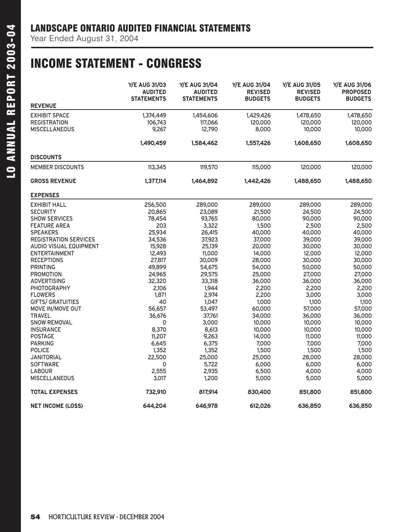## INCOME STATEMENT - CONGRESS

|                                          | <b>Y/E AUG 31/03</b><br><b>AUDITED</b> | <b>Y/E AUG 31/04</b><br><b>AUDITED</b> | <b>Y/E AUG 31/04</b><br><b>REVISED</b> | <b>Y/E AUG 31/05</b><br><b>REVISED</b><br><b>BUDGETS</b> | <b>Y/E AUG 31/06</b><br><b>PROPOSED</b> |
|------------------------------------------|----------------------------------------|----------------------------------------|----------------------------------------|----------------------------------------------------------|-----------------------------------------|
| <b>REVENUE</b>                           | <b>STATEMENTS</b>                      | <b>STATEMENTS</b>                      | <b>BUDGETS</b>                         |                                                          | <b>BUDGETS</b>                          |
| <b>EXHIBIT SPACE</b>                     | 1,374,449                              | 1,454,606                              | 1,429,426                              | 1,478,650                                                | 1,478,650                               |
| <b>REGISTRATION</b>                      | 106,743                                | 117,066                                | 120,000                                | 120,000                                                  | 120,000                                 |
| <b>MISCELLANEOUS</b>                     | 9,267                                  | 12,790                                 | 8,000                                  | 10,000                                                   | 10,000                                  |
|                                          | 1,490,459                              | 1,584,462                              | 1,557,426                              | 1,608,650                                                | 1,608,650                               |
| <b>DISCOUNTS</b>                         |                                        |                                        |                                        |                                                          |                                         |
| <b>MEMBER DISCOUNTS</b>                  | 113,345                                | 119,570                                | 115,000                                | 120,000                                                  | 120,000                                 |
| <b>GROSS REVENUE</b>                     | 1,377,114                              | 1,464,892                              | 1,442,426                              | 1,488,650                                                | 1,488,650                               |
| <b>EXPENSES</b>                          |                                        |                                        |                                        |                                                          |                                         |
| <b>EXHIBIT HALL</b>                      | 256,500                                | 289,000                                | 289,000                                | 289,000                                                  | 289,000                                 |
| <b>SECURITY</b>                          | 20,865                                 | 23,089                                 | 21,500                                 | 24,500                                                   | 24,500                                  |
| <b>SHOW SERVICES</b>                     | 78,454                                 | 93,765                                 | 80,000                                 | 90,000                                                   | 90,000                                  |
| <b>FEATURE AREA</b>                      | 203                                    | 3,322                                  | 1,500                                  | 2,500                                                    | 2,500                                   |
| <b>SPEAKERS</b>                          | 25,934                                 | 26,415                                 | 40,000                                 | 40,000                                                   | 40,000                                  |
| <b>REGISTRATION SERVICES</b>             | 34,536                                 | 37,923                                 | 37,000                                 | 39,000                                                   | 39,000                                  |
| <b>AUDIO VISUAL EQUIPMENT</b>            | 15,928                                 | 25,139                                 | 20,000                                 | 30,000                                                   | 30,000                                  |
| <b>ENTERTAINMENT</b>                     | 12,493                                 | 11,000                                 | 14,000                                 | 12,000                                                   | 12,000                                  |
| <b>RECEPTIONS</b>                        | 27,817                                 | 30,009                                 | 28,000                                 | 30,000                                                   | 30,000                                  |
| <b>PRINTING</b>                          | 49,899                                 | 54,675                                 | 54,000                                 | 50,000                                                   | 50,000                                  |
| <b>PROMOTION</b>                         | 24,965                                 | 29,575                                 | 25,000                                 | 27,000                                                   | 27,000                                  |
| <b>ADVERTISING</b>                       | 32,320                                 | 33,318                                 | 36,000                                 | 36,000                                                   | 36,000                                  |
| <b>PHOTOGRAPHY</b>                       | 2,106                                  | 1,944                                  | 2,200                                  | 2,200                                                    | 2,200                                   |
| <b>FLOWERS</b>                           | 1,871                                  | 2,974                                  | 2,200                                  | 3,000                                                    | 3,000                                   |
| <b>GIFTS/ GRATUITIES</b>                 | 40                                     | 1,047<br>53,497                        | 1,000<br>60,000                        | 1,100<br>57,000                                          | 1,100<br>57,000                         |
| <b>MOVE IN/MOVE OUT</b><br><b>TRAVEL</b> | 56,657<br>36,676                       | 37,761                                 | 34,000                                 | 36,000                                                   | 36,000                                  |
| <b>SNOW REMOVAL</b>                      | 0                                      | 3,000                                  | 10,000                                 | 10,000                                                   | 10,000                                  |
| <b>INSURANCE</b>                         | 8,370                                  | 8,613                                  | 10,000                                 | 10,000                                                   | 10,000                                  |
| <b>POSTAGE</b>                           | 11,207                                 | 9,263                                  | 14,000                                 | 11,000                                                   | 11,000                                  |
| <b>PARKING</b>                           | 6,645                                  | 6,375                                  | 7,000                                  | 7,000                                                    | 7,000                                   |
| <b>POLICE</b>                            | 1,352                                  | 1,352                                  | 1,500                                  | 1,500                                                    | 1,500                                   |
| <b>JANITORIAL</b>                        | 22,500                                 | 25,000                                 | 25,000                                 | 28,000                                                   | 28,000                                  |
| <b>SOFTWARE</b>                          | 0                                      | 5,722                                  | 6,000                                  | 6,000                                                    | 6,000                                   |
| <b>LABOUR</b>                            | 2,555                                  | 2,935                                  | 6,500                                  | 4,000                                                    | 4,000                                   |
| <b>MISCELLANEOUS</b>                     | 3,017                                  | 1,200                                  | 5,000                                  | 5,000                                                    | 5,000                                   |
| <b>TOTAL EXPENSES</b>                    | 732,910                                | 817,914                                | 830,400                                | 851,800                                                  | 851,800                                 |
| <b>NET INCOME (LOSS)</b>                 | 644,204                                | 646,978                                | 612,026                                | 636,850                                                  | 636,850                                 |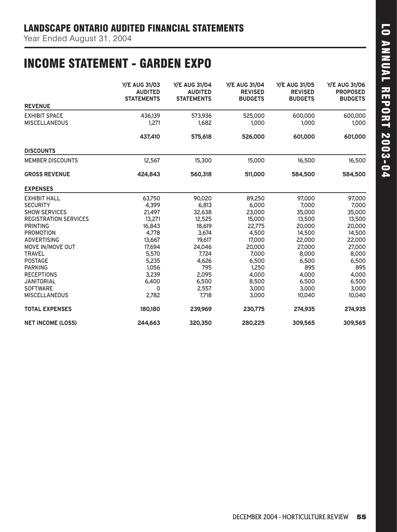## INCOME STATEMENT - GARDEN EXPO

|                              | <b>Y/E AUG 31/03</b><br><b>AUDITED</b><br><b>STATEMENTS</b> | <b>Y/E AUG 31/04</b><br><b>AUDITED</b><br><b>STATEMENTS</b> | Y/E AUG 31/04<br><b>REVISED</b><br><b>BUDGETS</b> | <b>Y/E AUG 31/05</b><br><b>REVISED</b><br><b>BUDGETS</b> | <b>Y/E AUG 31/06</b><br><b>PROPOSED</b><br><b>BUDGETS</b> |
|------------------------------|-------------------------------------------------------------|-------------------------------------------------------------|---------------------------------------------------|----------------------------------------------------------|-----------------------------------------------------------|
| <b>REVENUE</b>               |                                                             |                                                             |                                                   |                                                          |                                                           |
| <b>EXHIBIT SPACE</b>         | 436,139                                                     | 573,936                                                     | 525,000                                           | 600,000                                                  | 600,000                                                   |
| <b>MISCELLANEOUS</b>         | 1,271                                                       | 1,682                                                       | 1,000                                             | 1,000                                                    | 1,000                                                     |
|                              | 437,410                                                     | 575,618                                                     | 526,000                                           | 601,000                                                  | 601,000                                                   |
| <b>DISCOUNTS</b>             |                                                             |                                                             |                                                   |                                                          |                                                           |
| <b>MEMBER DISCOUNTS</b>      | 12,567                                                      | 15,300                                                      | 15,000                                            | 16,500                                                   | 16,500                                                    |
| <b>GROSS REVENUE</b>         | 424,843                                                     | 560,318                                                     | 511,000                                           | 584,500                                                  | 584,500                                                   |
| <b>EXPENSES</b>              |                                                             |                                                             |                                                   |                                                          |                                                           |
| <b>EXHIBIT HALL</b>          | 63,750                                                      | 90,020                                                      | 89,250                                            | 97,000                                                   | 97,000                                                    |
| <b>SECURITY</b>              | 4,399                                                       | 6,813                                                       | 6,000                                             | 7,000                                                    | 7,000                                                     |
| <b>SHOW SERVICES</b>         | 21,497                                                      | 32,638                                                      | 23,000                                            | 35,000                                                   | 35,000                                                    |
| <b>REGISTRATION SERVICES</b> | 13,271                                                      | 12,525                                                      | 15,000                                            | 13,500                                                   | 13,500                                                    |
| <b>PRINTING</b>              | 16,843                                                      | 18,619                                                      | 22,775                                            | 20,000                                                   | 20,000                                                    |
| <b>PROMOTION</b>             | 4,778                                                       | 3,674                                                       | 4,500                                             | 14,500                                                   | 14,500                                                    |
| <b>ADVERTISING</b>           | 13,667                                                      | 19,617                                                      | 17,000                                            | 22,000                                                   | 22,000                                                    |
| <b>MOVE IN/MOVE OUT</b>      | 17,694                                                      | 24,046                                                      | 20,000                                            | 27,000                                                   | 27,000                                                    |
| <b>TRAVEL</b>                | 5,570                                                       | 7,724                                                       | 7,000                                             | 8,000                                                    | 8,000                                                     |
| <b>POSTAGE</b>               | 5,235                                                       | 4,626                                                       | 6,500                                             | 6,500                                                    | 6,500                                                     |
| <b>PARKING</b>               | 1,056                                                       | 795                                                         | 1,250                                             | 895                                                      | 895                                                       |
| <b>RECEPTIONS</b>            | 3,239                                                       | 2,095                                                       | 4,000                                             | 4,000                                                    | 4,000                                                     |
| <b>JANITORIAL</b>            | 6,400                                                       | 6,500                                                       | 8,500                                             | 6,500                                                    | 6,500                                                     |
| <b>SOFTWARE</b>              | 0                                                           | 2,557                                                       | 3,000                                             | 3,000                                                    | 3,000                                                     |
| <b>MISCELLANEOUS</b>         | 2,782                                                       | 7,718                                                       | 3,000                                             | 10,040                                                   | 10,040                                                    |
| <b>TOTAL EXPENSES</b>        | 180,180                                                     | 239,969                                                     | 230,775                                           | 274,935                                                  | 274,935                                                   |
| <b>NET INCOME (LOSS)</b>     | 244,663                                                     | 320,350                                                     | 280,225                                           | 309,565                                                  | 309,565                                                   |